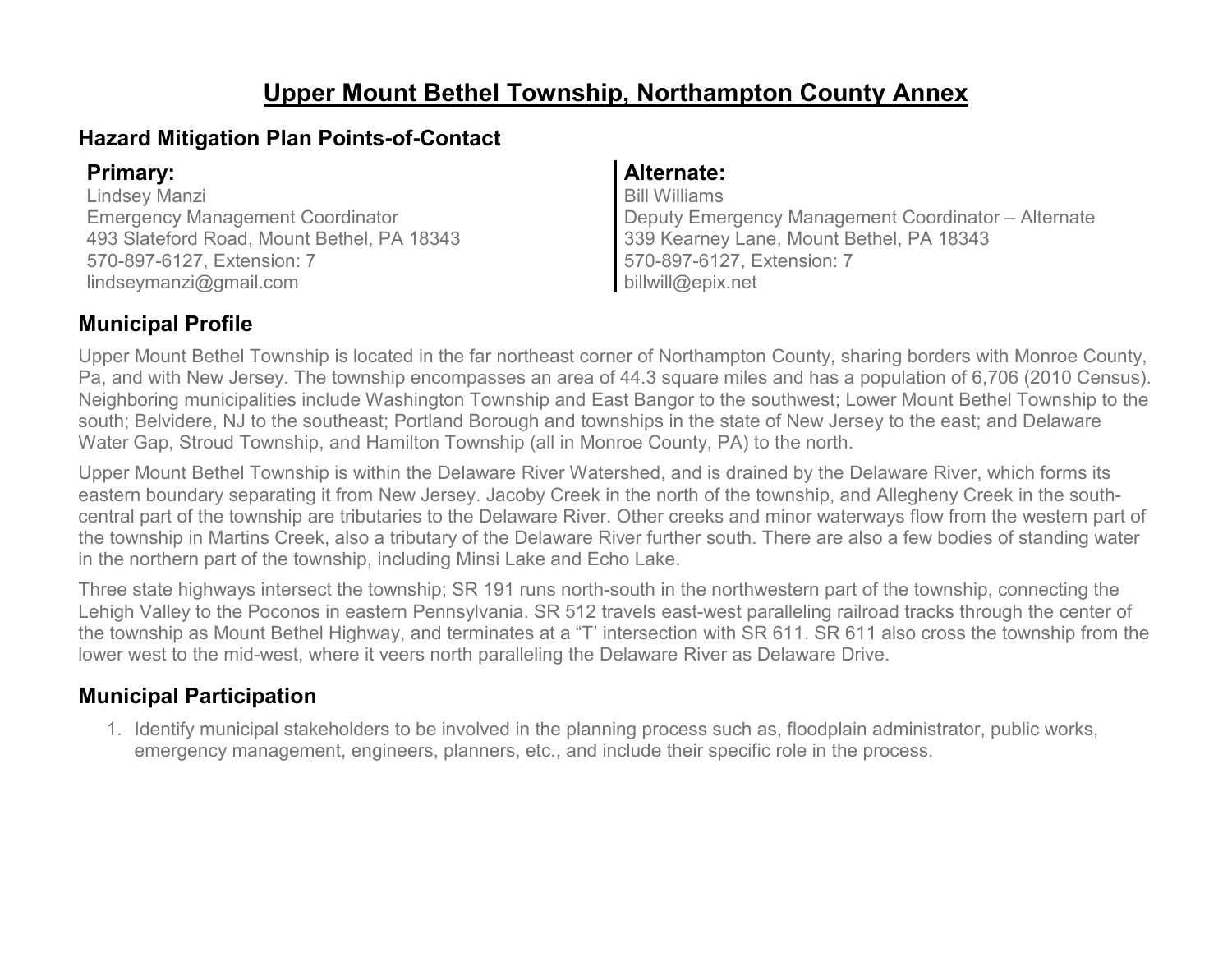# **Upper Mount Bethel Township, Northampton County Annex**

### **Hazard Mitigation Plan Points-of-Contact**

Lindsey Manzi Emergency Management Coordinator 493 Slateford Road, Mount Bethel, PA 18343 570-897-6127, Extension: 7 lindseymanzi@gmail.com

### **Primary: Alternate:**

Bill Williams Deputy Emergency Management Coordinator – Alternate 339 Kearney Lane, Mount Bethel, PA 18343 570-897-6127, Extension: 7 billwill@epix.net

### **Municipal Profile**

Upper Mount Bethel Township is located in the far northeast corner of Northampton County, sharing borders with Monroe County, Pa, and with New Jersey. The township encompasses an area of 44.3 square miles and has a population of 6,706 (2010 Census). Neighboring municipalities include Washington Township and East Bangor to the southwest; Lower Mount Bethel Township to the south; Belvidere, NJ to the southeast; Portland Borough and townships in the state of New Jersey to the east; and Delaware Water Gap, Stroud Township, and Hamilton Township (all in Monroe County, PA) to the north.

Upper Mount Bethel Township is within the Delaware River Watershed, and is drained by the Delaware River, which forms its eastern boundary separating it from New Jersey. Jacoby Creek in the north of the township, and Allegheny Creek in the southcentral part of the township are tributaries to the Delaware River. Other creeks and minor waterways flow from the western part of the township in Martins Creek, also a tributary of the Delaware River further south. There are also a few bodies of standing water in the northern part of the township, including Minsi Lake and Echo Lake.

Three state highways intersect the township; SR 191 runs north-south in the northwestern part of the township, connecting the Lehigh Valley to the Poconos in eastern Pennsylvania. SR 512 travels east-west paralleling railroad tracks through the center of the township as Mount Bethel Highway, and terminates at a "T' intersection with SR 611. SR 611 also cross the township from the lower west to the mid-west, where it veers north paralleling the Delaware River as Delaware Drive.

## **Municipal Participation**

1. Identify municipal stakeholders to be involved in the planning process such as, floodplain administrator, public works, emergency management, engineers, planners, etc., and include their specific role in the process.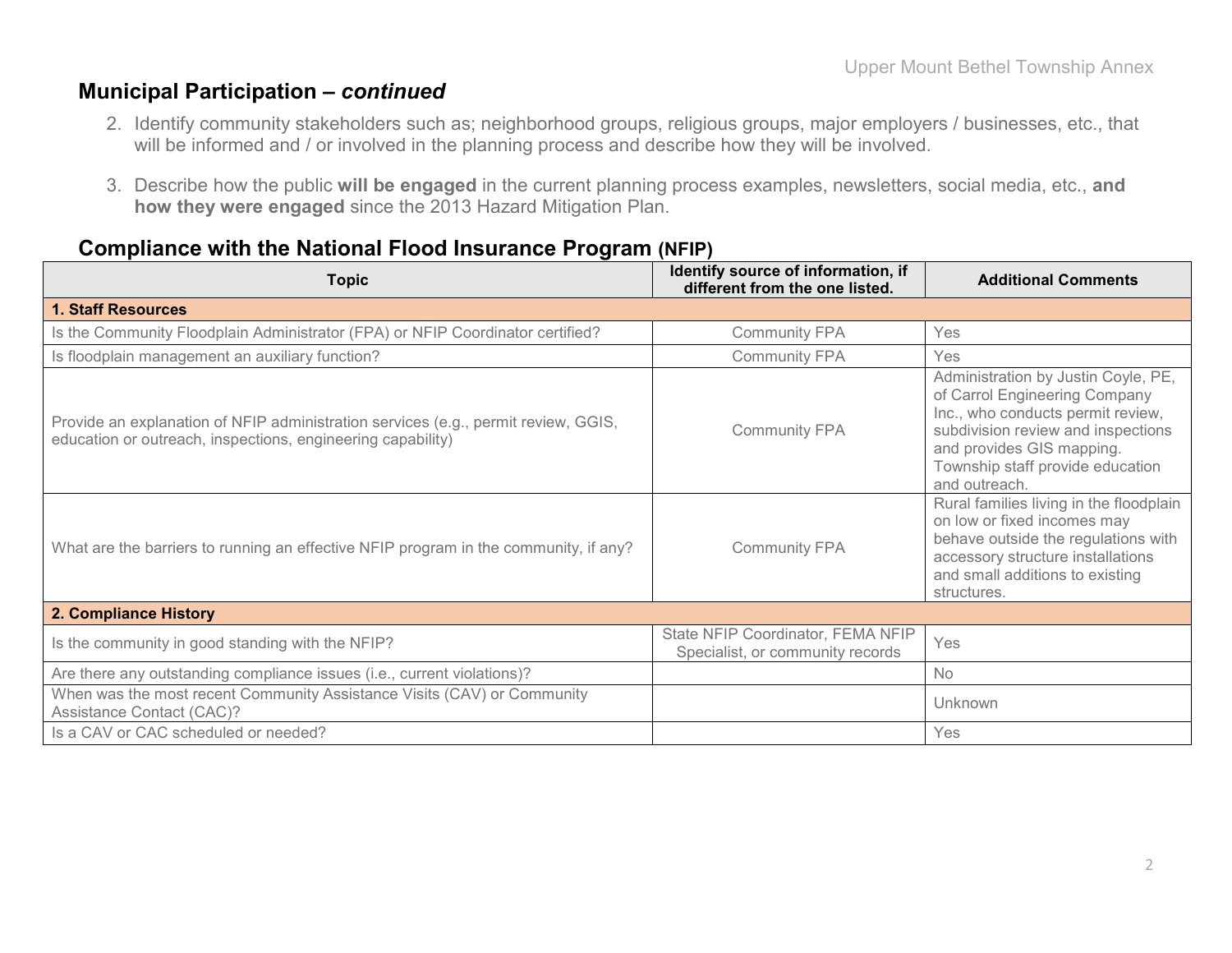#### **Municipal Participation –** *continued*

- 2. Identify community stakeholders such as; neighborhood groups, religious groups, major employers / businesses, etc., that will be informed and / or involved in the planning process and describe how they will be involved.
- 3. Describe how the public **will be engaged** in the current planning process examples, newsletters, social media, etc., **and how they were engaged** since the 2013 Hazard Mitigation Plan.

| <b>Topic</b>                                                                                                                                      | Identify source of information, if<br>different from the one listed.  | <b>Additional Comments</b>                                                                                                                                                                                                        |
|---------------------------------------------------------------------------------------------------------------------------------------------------|-----------------------------------------------------------------------|-----------------------------------------------------------------------------------------------------------------------------------------------------------------------------------------------------------------------------------|
| <b>1. Staff Resources</b>                                                                                                                         |                                                                       |                                                                                                                                                                                                                                   |
| Is the Community Floodplain Administrator (FPA) or NFIP Coordinator certified?                                                                    | <b>Community FPA</b>                                                  | Yes                                                                                                                                                                                                                               |
| Is floodplain management an auxiliary function?                                                                                                   | <b>Community FPA</b>                                                  | Yes                                                                                                                                                                                                                               |
| Provide an explanation of NFIP administration services (e.g., permit review, GGIS,<br>education or outreach, inspections, engineering capability) | <b>Community FPA</b>                                                  | Administration by Justin Coyle, PE,<br>of Carrol Engineering Company<br>Inc., who conducts permit review,<br>subdivision review and inspections<br>and provides GIS mapping.<br>Township staff provide education<br>and outreach. |
| What are the barriers to running an effective NFIP program in the community, if any?                                                              | <b>Community FPA</b>                                                  | Rural families living in the floodplain<br>on low or fixed incomes may<br>behave outside the regulations with<br>accessory structure installations<br>and small additions to existing<br>structures.                              |
| 2. Compliance History                                                                                                                             |                                                                       |                                                                                                                                                                                                                                   |
| Is the community in good standing with the NFIP?                                                                                                  | State NFIP Coordinator, FEMA NFIP<br>Specialist, or community records | Yes                                                                                                                                                                                                                               |
| Are there any outstanding compliance issues (i.e., current violations)?                                                                           |                                                                       | <b>No</b>                                                                                                                                                                                                                         |
| When was the most recent Community Assistance Visits (CAV) or Community<br>Assistance Contact (CAC)?                                              |                                                                       | Unknown                                                                                                                                                                                                                           |
| Is a CAV or CAC scheduled or needed?                                                                                                              |                                                                       | Yes                                                                                                                                                                                                                               |

### **Compliance with the National Flood Insurance Program (NFIP)**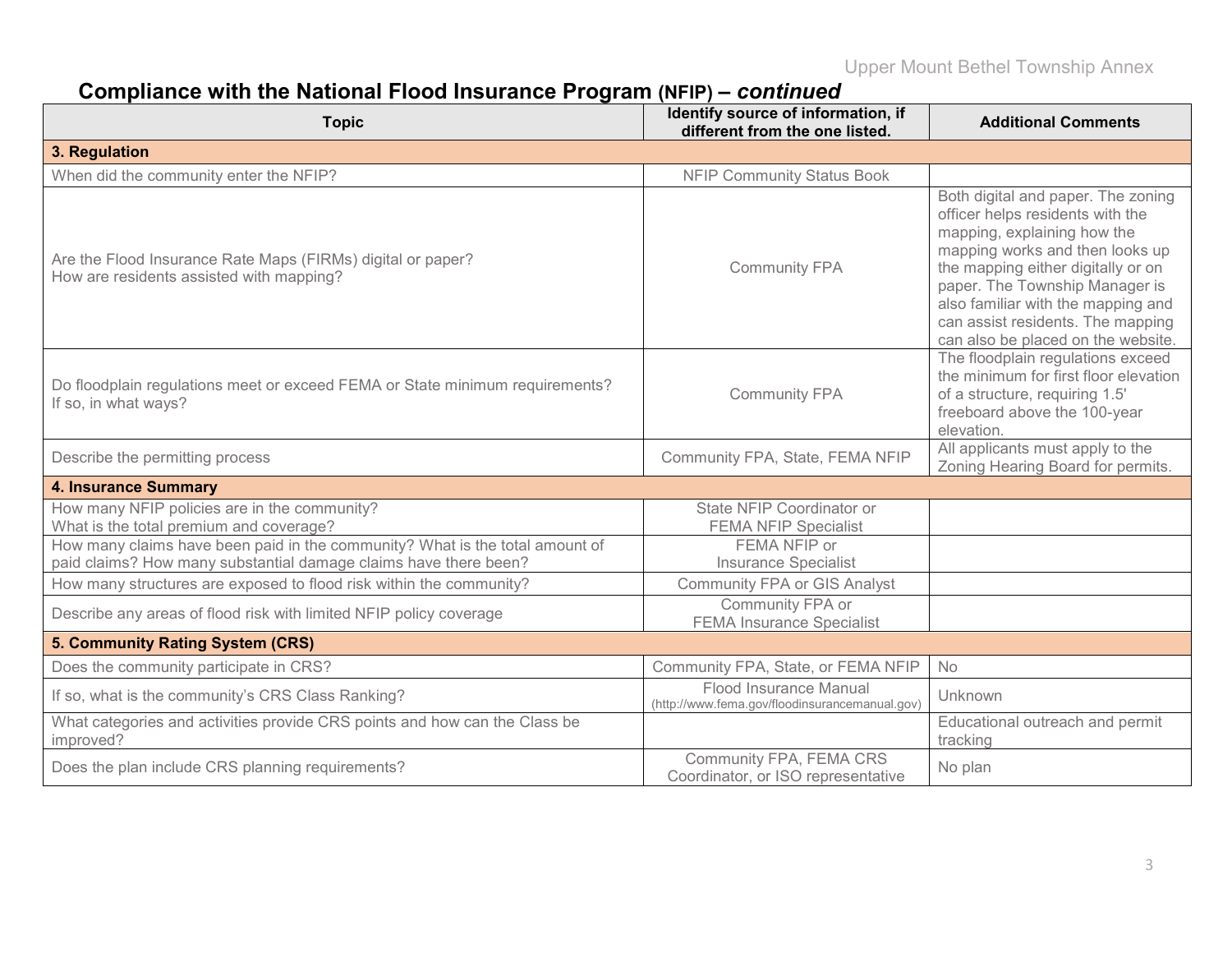# **Compliance with the National Flood Insurance Program (NFIP) –** *continued*

| <b>Topic</b>                                                                                            | Identify source of information, if<br>different from the one listed.     | <b>Additional Comments</b>                                                                                                                                                                                                                                                                                                        |
|---------------------------------------------------------------------------------------------------------|--------------------------------------------------------------------------|-----------------------------------------------------------------------------------------------------------------------------------------------------------------------------------------------------------------------------------------------------------------------------------------------------------------------------------|
| 3. Regulation                                                                                           |                                                                          |                                                                                                                                                                                                                                                                                                                                   |
| When did the community enter the NFIP?                                                                  | <b>NFIP Community Status Book</b>                                        |                                                                                                                                                                                                                                                                                                                                   |
| Are the Flood Insurance Rate Maps (FIRMs) digital or paper?<br>How are residents assisted with mapping? | <b>Community FPA</b>                                                     | Both digital and paper. The zoning<br>officer helps residents with the<br>mapping, explaining how the<br>mapping works and then looks up<br>the mapping either digitally or on<br>paper. The Township Manager is<br>also familiar with the mapping and<br>can assist residents. The mapping<br>can also be placed on the website. |
| Do floodplain regulations meet or exceed FEMA or State minimum requirements?<br>If so, in what ways?    | <b>Community FPA</b>                                                     | The floodplain regulations exceed<br>the minimum for first floor elevation<br>of a structure, requiring 1.5'<br>freeboard above the 100-year<br>elevation.                                                                                                                                                                        |
| Describe the permitting process                                                                         | Community FPA, State, FEMA NFIP                                          | All applicants must apply to the<br>Zoning Hearing Board for permits.                                                                                                                                                                                                                                                             |
| <b>4. Insurance Summary</b>                                                                             |                                                                          |                                                                                                                                                                                                                                                                                                                                   |
| How many NFIP policies are in the community?<br>What is the total premium and coverage?                 | State NFIP Coordinator or<br><b>FEMA NFIP Specialist</b>                 |                                                                                                                                                                                                                                                                                                                                   |
| How many claims have been paid in the community? What is the total amount of                            | FEMA NFIP or                                                             |                                                                                                                                                                                                                                                                                                                                   |
| paid claims? How many substantial damage claims have there been?                                        | <b>Insurance Specialist</b>                                              |                                                                                                                                                                                                                                                                                                                                   |
| How many structures are exposed to flood risk within the community?                                     | <b>Community FPA or GIS Analyst</b>                                      |                                                                                                                                                                                                                                                                                                                                   |
| Describe any areas of flood risk with limited NFIP policy coverage                                      | Community FPA or<br><b>FEMA Insurance Specialist</b>                     |                                                                                                                                                                                                                                                                                                                                   |
| 5. Community Rating System (CRS)                                                                        |                                                                          |                                                                                                                                                                                                                                                                                                                                   |
| Does the community participate in CRS?                                                                  | Community FPA, State, or FEMA NFIP                                       | No                                                                                                                                                                                                                                                                                                                                |
| If so, what is the community's CRS Class Ranking?                                                       | Flood Insurance Manual<br>(http://www.fema.gov/floodinsurancemanual.gov) | Unknown                                                                                                                                                                                                                                                                                                                           |
| What categories and activities provide CRS points and how can the Class be<br>improved?                 |                                                                          | Educational outreach and permit<br>tracking                                                                                                                                                                                                                                                                                       |
| Does the plan include CRS planning requirements?                                                        | Community FPA, FEMA CRS<br>Coordinator, or ISO representative            | No plan                                                                                                                                                                                                                                                                                                                           |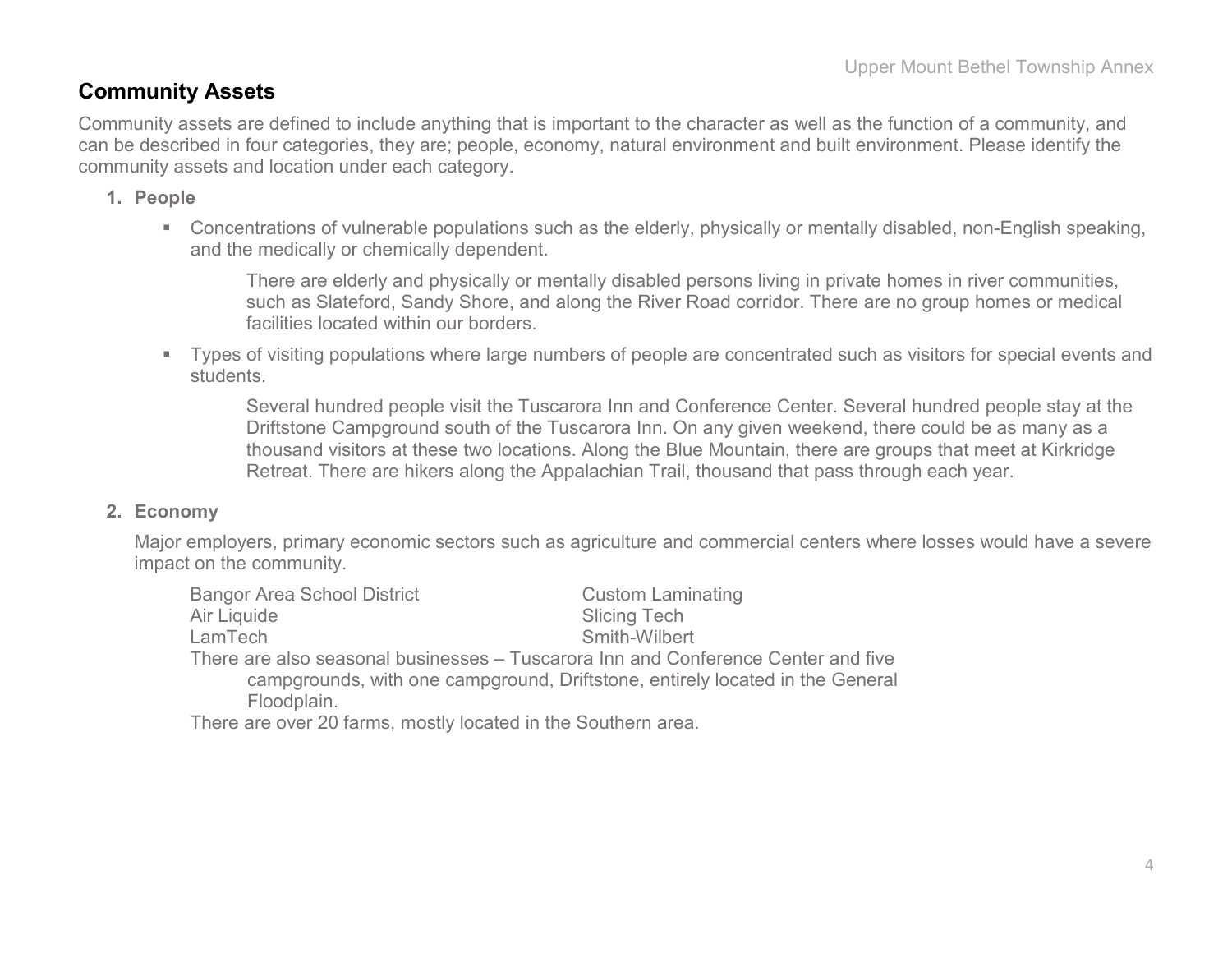### **Community Assets**

Community assets are defined to include anything that is important to the character as well as the function of a community, and can be described in four categories, they are; people, economy, natural environment and built environment. Please identify the community assets and location under each category.

#### **1. People**

 Concentrations of vulnerable populations such as the elderly, physically or mentally disabled, non-English speaking, and the medically or chemically dependent.

There are elderly and physically or mentally disabled persons living in private homes in river communities, such as Slateford, Sandy Shore, and along the River Road corridor. There are no group homes or medical facilities located within our borders.

 Types of visiting populations where large numbers of people are concentrated such as visitors for special events and students.

Several hundred people visit the Tuscarora Inn and Conference Center. Several hundred people stay at the Driftstone Campground south of the Tuscarora Inn. On any given weekend, there could be as many as a thousand visitors at these two locations. Along the Blue Mountain, there are groups that meet at Kirkridge Retreat. There are hikers along the Appalachian Trail, thousand that pass through each year.

#### **2. Economy**

Major employers, primary economic sectors such as agriculture and commercial centers where losses would have a severe impact on the community.

| <b>Bangor Area School District</b>                                                | <b>Custom Laminating</b> |
|-----------------------------------------------------------------------------------|--------------------------|
| Air Liquide                                                                       | <b>Slicing Tech</b>      |
| LamTech                                                                           | Smith-Wilbert            |
| There are also seasonal businesses – Tuscarora Inn and Conference Center and five |                          |
| campgrounds, with one campground, Driftstone, entirely located in the General     |                          |
| Floodplain.                                                                       |                          |
| These are attempted formed meadled landed by the Carolinams and a                 |                          |

There are over 20 farms, mostly located in the Southern area.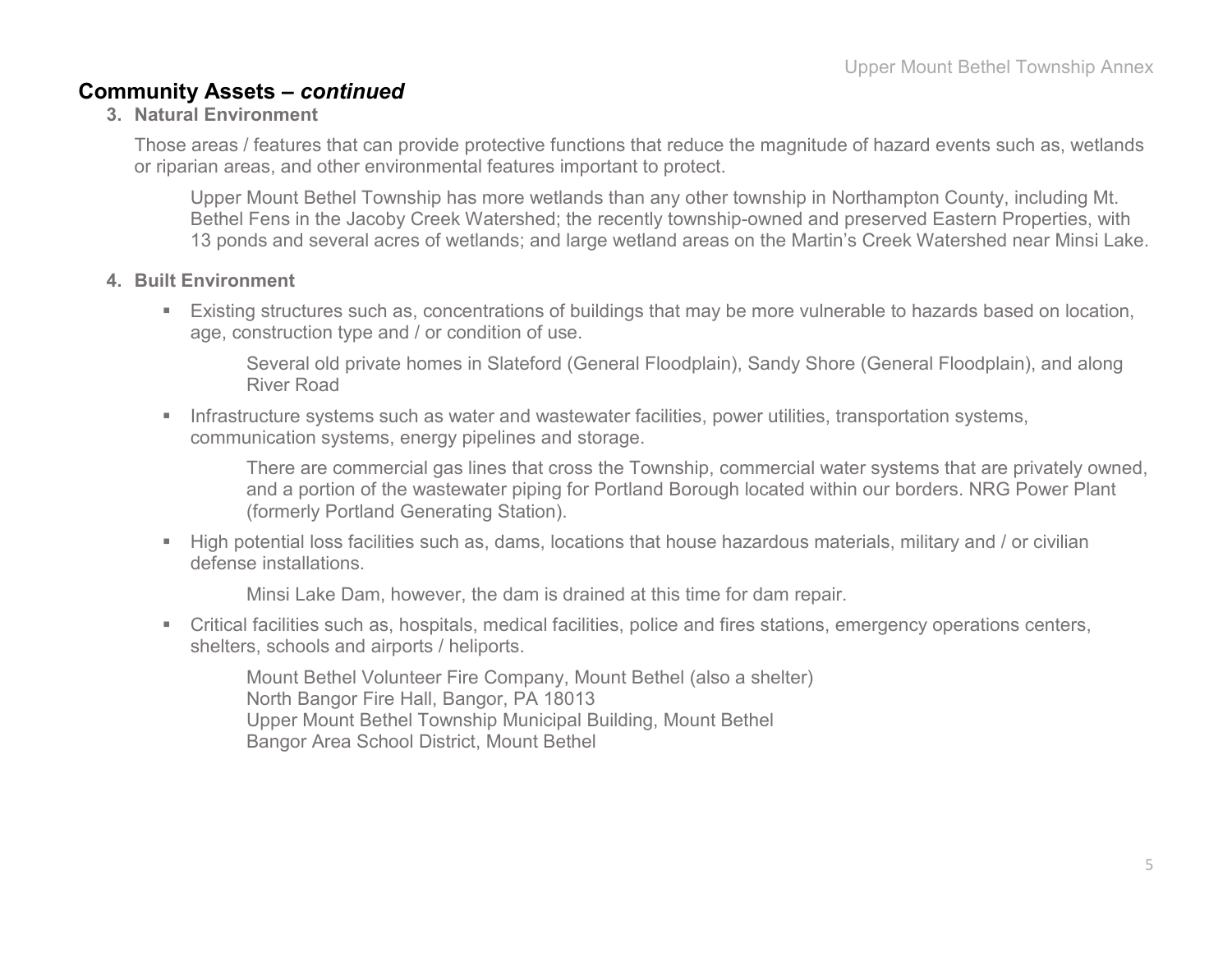### **Community Assets –** *continued*

#### **3. Natural Environment**

Those areas / features that can provide protective functions that reduce the magnitude of hazard events such as, wetlands or riparian areas, and other environmental features important to protect.

Upper Mount Bethel Township has more wetlands than any other township in Northampton County, including Mt. Bethel Fens in the Jacoby Creek Watershed; the recently township-owned and preserved Eastern Properties, with 13 ponds and several acres of wetlands; and large wetland areas on the Martin's Creek Watershed near Minsi Lake.

#### **4. Built Environment**

 Existing structures such as, concentrations of buildings that may be more vulnerable to hazards based on location, age, construction type and / or condition of use.

Several old private homes in Slateford (General Floodplain), Sandy Shore (General Floodplain), and along River Road

**Infrastructure systems such as water and wastewater facilities, power utilities, transportation systems,** communication systems, energy pipelines and storage.

There are commercial gas lines that cross the Township, commercial water systems that are privately owned, and a portion of the wastewater piping for Portland Borough located within our borders. NRG Power Plant (formerly Portland Generating Station).

 High potential loss facilities such as, dams, locations that house hazardous materials, military and / or civilian defense installations.

Minsi Lake Dam, however, the dam is drained at this time for dam repair.

 Critical facilities such as, hospitals, medical facilities, police and fires stations, emergency operations centers, shelters, schools and airports / heliports.

Mount Bethel Volunteer Fire Company, Mount Bethel (also a shelter) North Bangor Fire Hall, Bangor, PA 18013 Upper Mount Bethel Township Municipal Building, Mount Bethel Bangor Area School District, Mount Bethel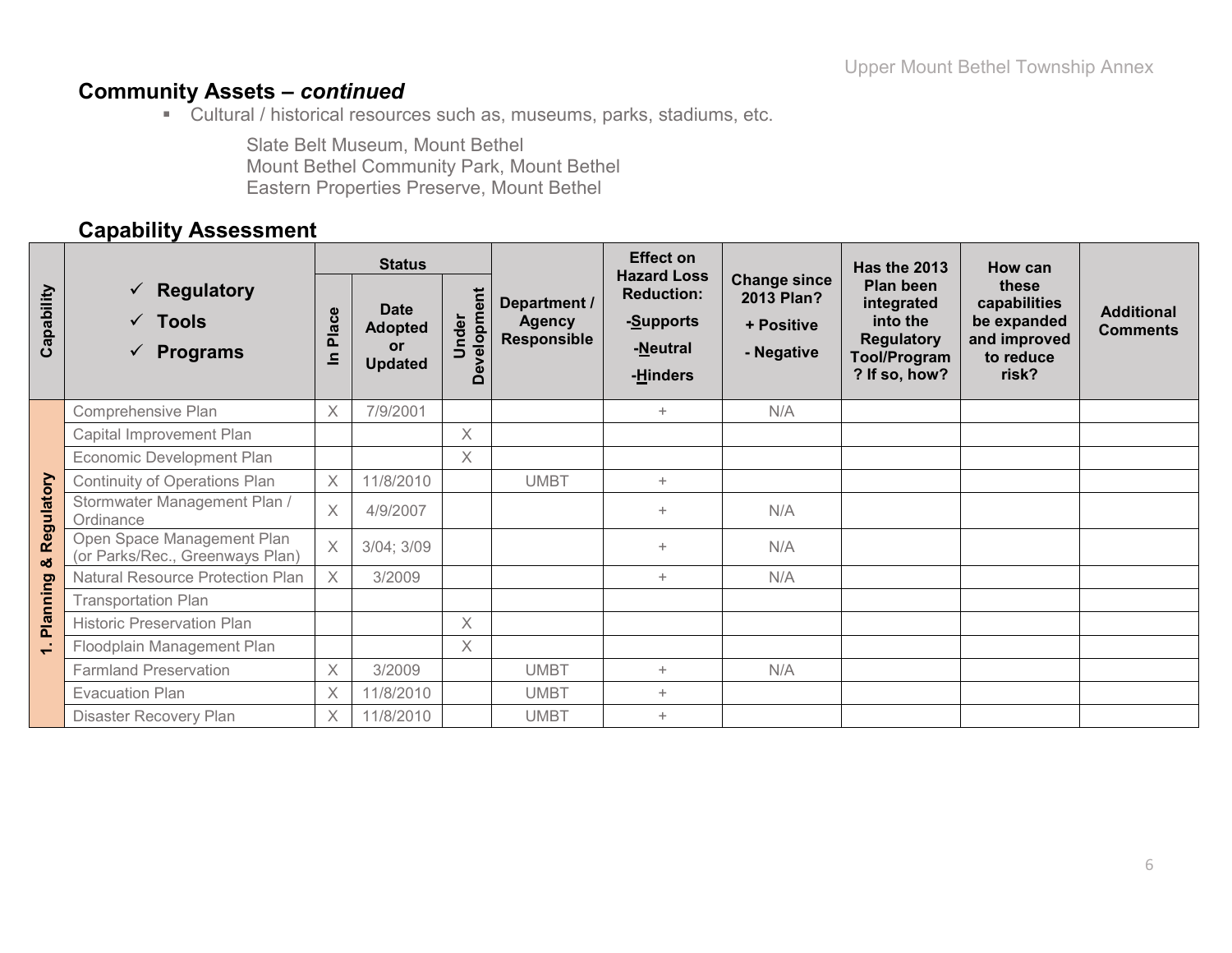### **Community Assets –** *continued*

Cultural / historical resources such as, museums, parks, stadiums, etc.

Slate Belt Museum, Mount Bethel Mount Bethel Community Park, Mount Bethel Eastern Properties Preserve, Mount Bethel

### **Capability Assessment**

|                |                                                                  | <b>Status</b>  |                                                              |                      |                                                     | <b>Effect on</b><br><b>Hazard Loss</b>                 |                                                               | <b>Has the 2013</b>                                                                              | How can                                                                    |                                      |
|----------------|------------------------------------------------------------------|----------------|--------------------------------------------------------------|----------------------|-----------------------------------------------------|--------------------------------------------------------|---------------------------------------------------------------|--------------------------------------------------------------------------------------------------|----------------------------------------------------------------------------|--------------------------------------|
| Capability     | $\checkmark$ Regulatory<br>$\checkmark$ Tools<br><b>Programs</b> | Place<br>드     | <b>Date</b><br><b>Adopted</b><br><b>or</b><br><b>Updated</b> | Development<br>Under | Department /<br><b>Agency</b><br><b>Responsible</b> | <b>Reduction:</b><br>-Supports<br>-Neutral<br>-Hinders | <b>Change since</b><br>2013 Plan?<br>+ Positive<br>- Negative | Plan been<br>integrated<br>into the<br><b>Regulatory</b><br><b>Tool/Program</b><br>? If so, how? | these<br>capabilities<br>be expanded<br>and improved<br>to reduce<br>risk? | <b>Additional</b><br><b>Comments</b> |
|                | Comprehensive Plan                                               | X              | 7/9/2001                                                     |                      |                                                     | $+$                                                    | N/A                                                           |                                                                                                  |                                                                            |                                      |
|                | Capital Improvement Plan                                         |                |                                                              | $\times$             |                                                     |                                                        |                                                               |                                                                                                  |                                                                            |                                      |
|                | Economic Development Plan                                        |                |                                                              | $\times$             |                                                     |                                                        |                                                               |                                                                                                  |                                                                            |                                      |
|                | Continuity of Operations Plan                                    | X              | 11/8/2010                                                    |                      | <b>UMBT</b>                                         | $+$                                                    |                                                               |                                                                                                  |                                                                            |                                      |
| Regulatory     | Stormwater Management Plan /<br>Ordinance                        | $\times$       | 4/9/2007                                                     |                      |                                                     | $+$                                                    | N/A                                                           |                                                                                                  |                                                                            |                                      |
| οð             | Open Space Management Plan<br>(or Parks/Rec., Greenways Plan)    | $\overline{X}$ | 3/04; 3/09                                                   |                      |                                                     | $+$                                                    | N/A                                                           |                                                                                                  |                                                                            |                                      |
|                | <b>Natural Resource Protection Plan</b>                          | $\times$       | 3/2009                                                       |                      |                                                     | $+$                                                    | N/A                                                           |                                                                                                  |                                                                            |                                      |
| Planning       | <b>Transportation Plan</b>                                       |                |                                                              |                      |                                                     |                                                        |                                                               |                                                                                                  |                                                                            |                                      |
|                | <b>Historic Preservation Plan</b>                                |                |                                                              | $\times$             |                                                     |                                                        |                                                               |                                                                                                  |                                                                            |                                      |
| $\overline{ }$ | Floodplain Management Plan                                       |                |                                                              | X                    |                                                     |                                                        |                                                               |                                                                                                  |                                                                            |                                      |
|                | <b>Farmland Preservation</b>                                     | X              | 3/2009                                                       |                      | <b>UMBT</b>                                         | $+$                                                    | N/A                                                           |                                                                                                  |                                                                            |                                      |
|                | <b>Evacuation Plan</b>                                           | $\times$       | 11/8/2010                                                    |                      | <b>UMBT</b>                                         | $+$                                                    |                                                               |                                                                                                  |                                                                            |                                      |
|                | Disaster Recovery Plan                                           | X              | 11/8/2010                                                    |                      | <b>UMBT</b>                                         | $+$                                                    |                                                               |                                                                                                  |                                                                            |                                      |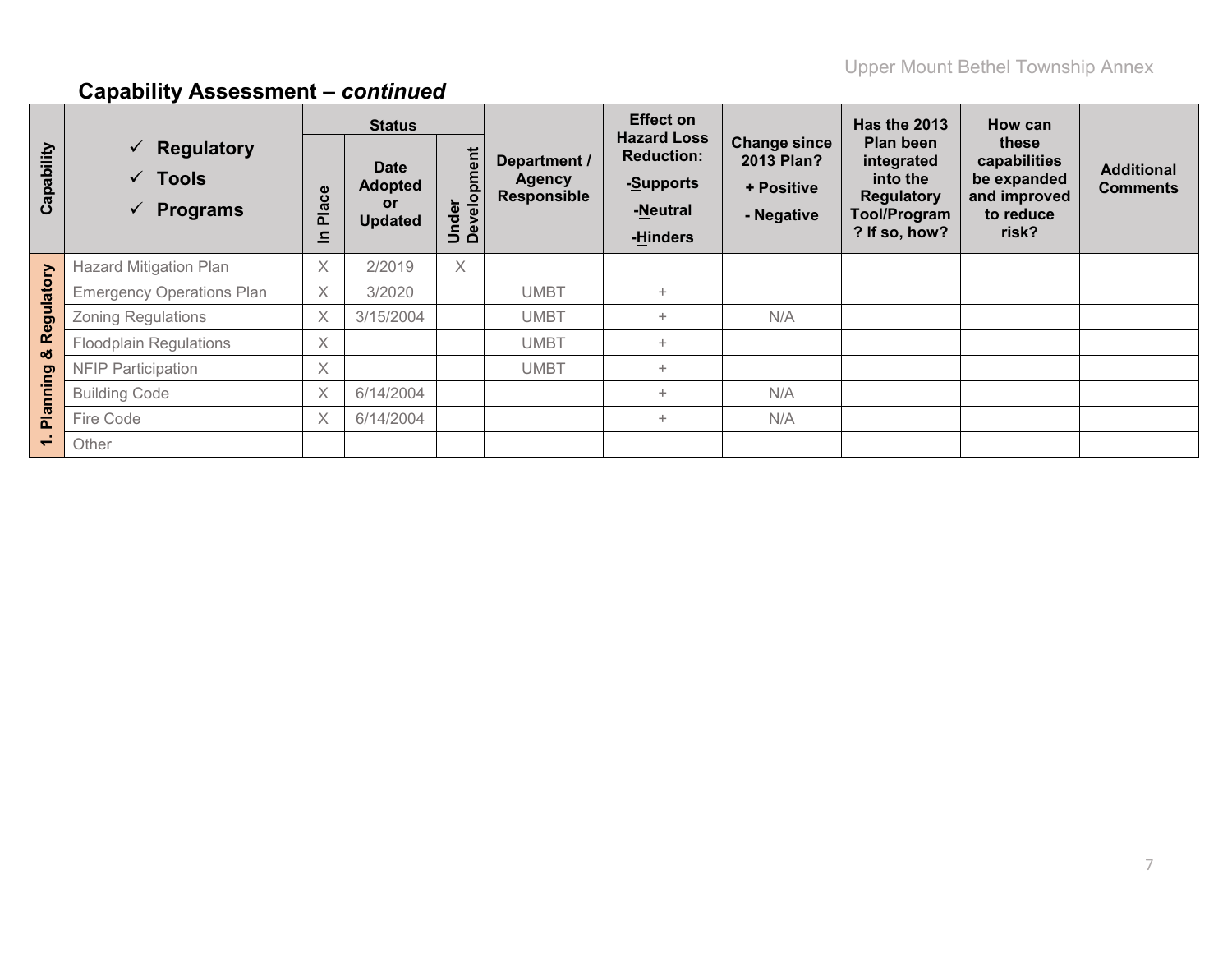|                          |                                                                                  |                                                         | <b>Status</b>                                         |                      |                                              | <b>Effect on</b>                                                             |                                                               | <b>Has the 2013</b>                                                                              | How can                                                                    |                                      |
|--------------------------|----------------------------------------------------------------------------------|---------------------------------------------------------|-------------------------------------------------------|----------------------|----------------------------------------------|------------------------------------------------------------------------------|---------------------------------------------------------------|--------------------------------------------------------------------------------------------------|----------------------------------------------------------------------------|--------------------------------------|
| Capability               | $\checkmark$ Regulatory<br>$\checkmark$ Tools<br><b>Programs</b><br>$\checkmark$ | $\boldsymbol{\omega}$<br>ത<br>$\tilde{\mathbf{a}}$<br>드 | <b>Date</b><br><b>Adopted</b><br>or<br><b>Updated</b> | Under<br>Development | Department /<br>Agency<br><b>Responsible</b> | <b>Hazard Loss</b><br><b>Reduction:</b><br>-Supports<br>-Neutral<br>-Hinders | <b>Change since</b><br>2013 Plan?<br>+ Positive<br>- Negative | Plan been<br>integrated<br>into the<br><b>Regulatory</b><br><b>Tool/Program</b><br>? If so, how? | these<br>capabilities<br>be expanded<br>and improved<br>to reduce<br>risk? | <b>Additional</b><br><b>Comments</b> |
|                          | <b>Hazard Mitigation Plan</b>                                                    | $\times$                                                | 2/2019                                                | $\times$             |                                              |                                                                              |                                                               |                                                                                                  |                                                                            |                                      |
|                          | <b>Emergency Operations Plan</b>                                                 | X                                                       | 3/2020                                                |                      | <b>UMBT</b>                                  | $\ddot{}$                                                                    |                                                               |                                                                                                  |                                                                            |                                      |
| Regulatory               | <b>Zoning Regulations</b>                                                        | $\times$                                                | 3/15/2004                                             |                      | <b>UMBT</b>                                  | $\ddot{}$                                                                    | N/A                                                           |                                                                                                  |                                                                            |                                      |
| ೲ                        | <b>Floodplain Regulations</b>                                                    | X                                                       |                                                       |                      | <b>UMBT</b>                                  | $+$                                                                          |                                                               |                                                                                                  |                                                                            |                                      |
|                          | <b>NFIP Participation</b>                                                        | X                                                       |                                                       |                      | <b>UMBT</b>                                  | $+$                                                                          |                                                               |                                                                                                  |                                                                            |                                      |
| Planning                 | <b>Building Code</b>                                                             | $\times$                                                | 6/14/2004                                             |                      |                                              | $+$                                                                          | N/A                                                           |                                                                                                  |                                                                            |                                      |
|                          | Fire Code                                                                        | X                                                       | 6/14/2004                                             |                      |                                              | $+$                                                                          | N/A                                                           |                                                                                                  |                                                                            |                                      |
| $\overline{\phantom{0}}$ | Other                                                                            |                                                         |                                                       |                      |                                              |                                                                              |                                                               |                                                                                                  |                                                                            |                                      |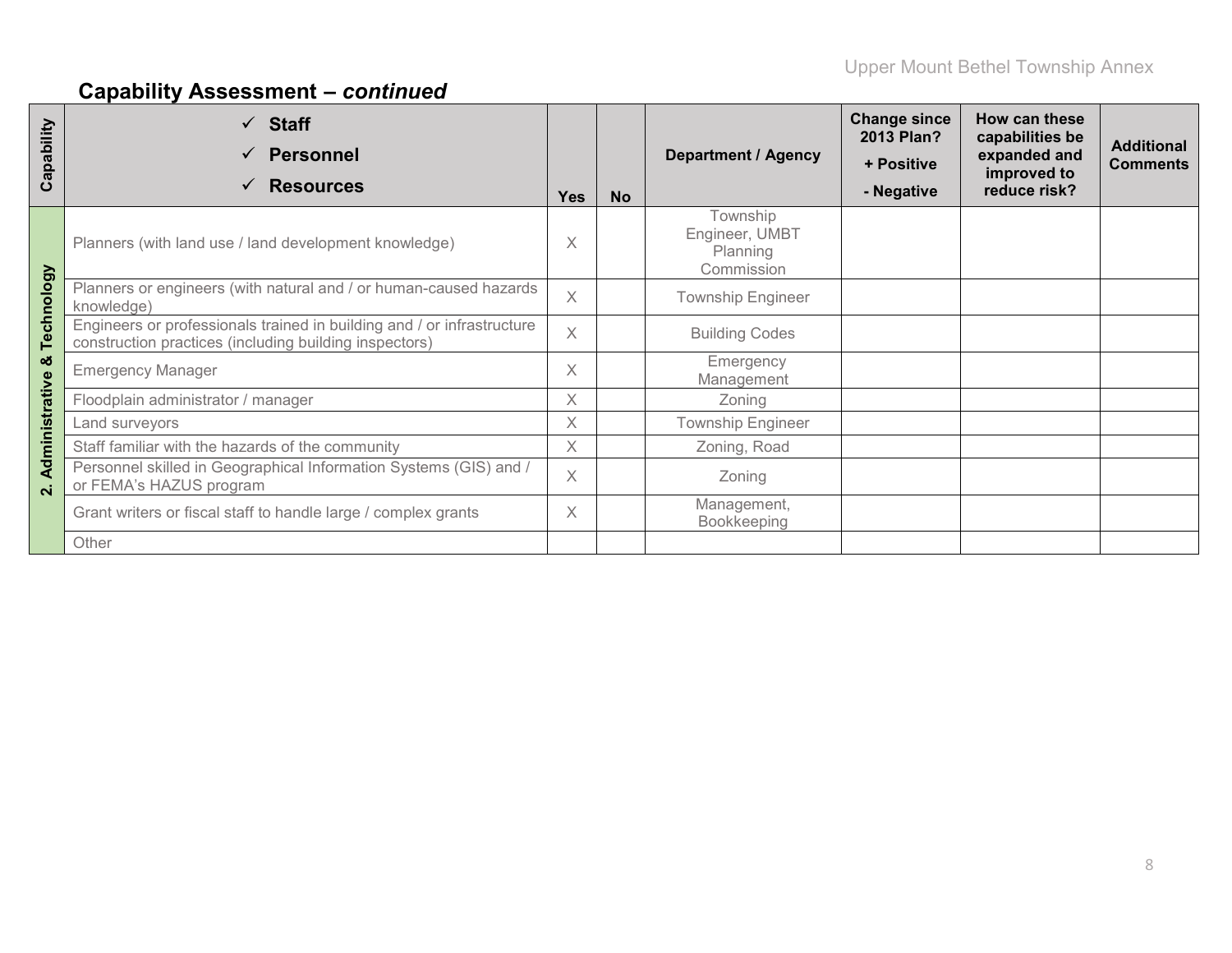| Capability         | $\checkmark$ Staff<br><b>Personnel</b><br><b>Resources</b>                                                                                                     | <b>Yes</b> | <b>No</b> | <b>Department / Agency</b>                           | <b>Change since</b><br>2013 Plan?<br>+ Positive<br>- Negative | How can these<br>capabilities be<br>expanded and<br>improved to<br>reduce risk? | <b>Additional</b><br><b>Comments</b> |
|--------------------|----------------------------------------------------------------------------------------------------------------------------------------------------------------|------------|-----------|------------------------------------------------------|---------------------------------------------------------------|---------------------------------------------------------------------------------|--------------------------------------|
|                    | Planners (with land use / land development knowledge)                                                                                                          | X          |           | Township<br>Engineer, UMBT<br>Planning<br>Commission |                                                               |                                                                                 |                                      |
|                    | Planners or engineers (with natural and / or human-caused hazards<br>knowledge)                                                                                | $\times$   |           | <b>Township Engineer</b>                             |                                                               |                                                                                 |                                      |
| Technology         | Engineers or professionals trained in building and / or infrastructure<br>X<br><b>Building Codes</b><br>construction practices (including building inspectors) |            |           |                                                      |                                                               |                                                                                 |                                      |
| ఱ                  | <b>Emergency Manager</b>                                                                                                                                       | $\times$   |           | Emergency<br>Management                              |                                                               |                                                                                 |                                      |
|                    | Floodplain administrator / manager                                                                                                                             | X          |           | Zoning                                               |                                                               |                                                                                 |                                      |
|                    | Land surveyors                                                                                                                                                 | X          |           | <b>Township Engineer</b>                             |                                                               |                                                                                 |                                      |
| Administrative     | Staff familiar with the hazards of the community                                                                                                               | $\times$   |           | Zoning, Road                                         |                                                               |                                                                                 |                                      |
| $\dot{\mathbf{v}}$ | Personnel skilled in Geographical Information Systems (GIS) and /<br>or FEMA's HAZUS program                                                                   | $\chi$     | Zoning    |                                                      |                                                               |                                                                                 |                                      |
|                    | Grant writers or fiscal staff to handle large / complex grants                                                                                                 | X          |           | Management,<br>Bookkeeping                           |                                                               |                                                                                 |                                      |
|                    | Other                                                                                                                                                          |            |           |                                                      |                                                               |                                                                                 |                                      |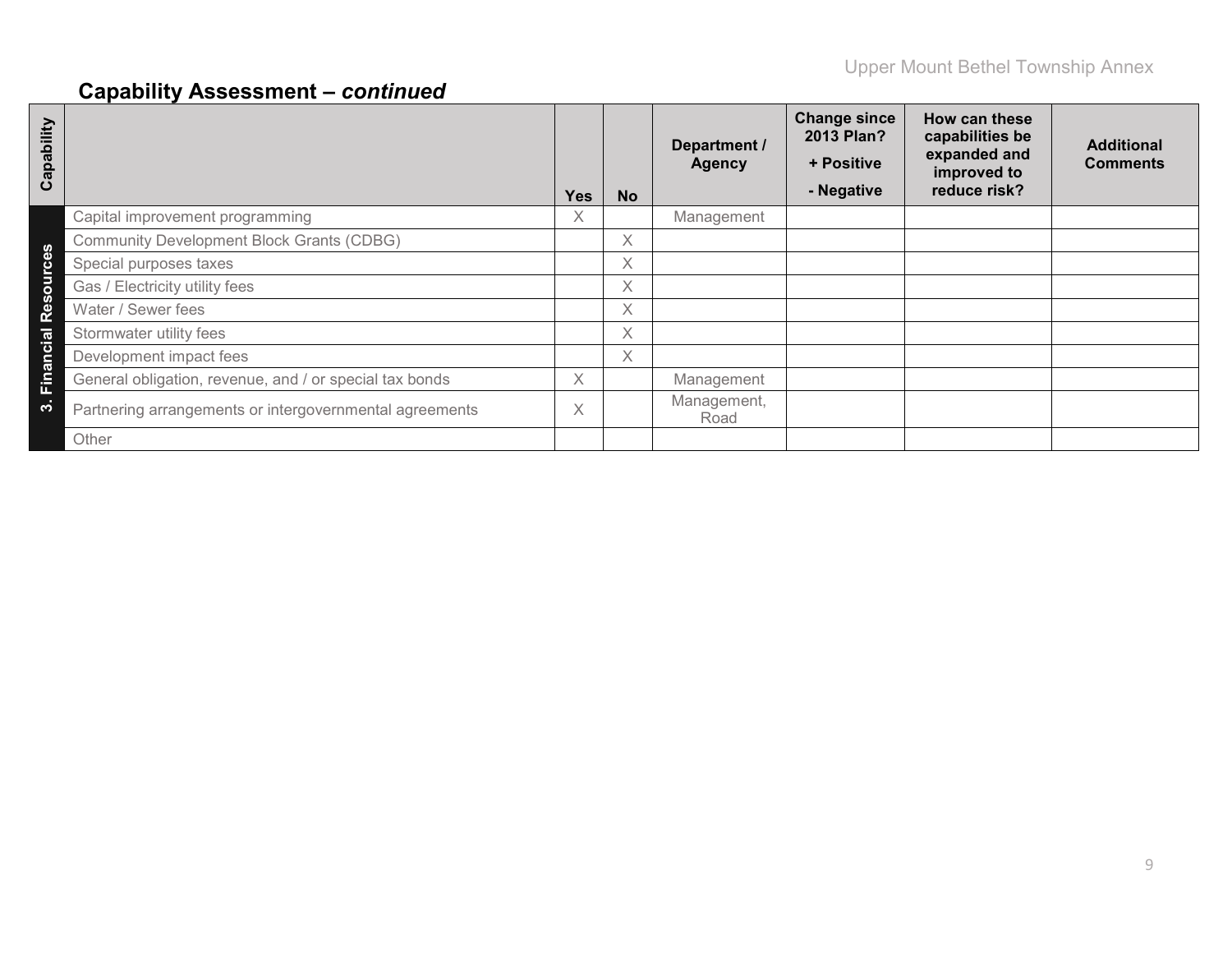| ability<br>Cap |                                                         | <b>Yes</b> | <b>No</b> | Department /<br><b>Agency</b> | <b>Change since</b><br>2013 Plan?<br>+ Positive<br>- Negative | How can these<br>capabilities be<br>expanded and<br>improved to<br>reduce risk? | <b>Additional</b><br><b>Comments</b> |
|----------------|---------------------------------------------------------|------------|-----------|-------------------------------|---------------------------------------------------------------|---------------------------------------------------------------------------------|--------------------------------------|
|                | Capital improvement programming                         | X.         |           | Management                    |                                                               |                                                                                 |                                      |
| ഗ              | <b>Community Development Block Grants (CDBG)</b>        |            | X         |                               |                                                               |                                                                                 |                                      |
|                | Special purposes taxes                                  |            | $\times$  |                               |                                                               |                                                                                 |                                      |
| $\circ$        | Gas / Electricity utility fees                          |            | Χ         |                               |                                                               |                                                                                 |                                      |
| n<br>m<br>œ    | Water / Sewer fees                                      |            | X         |                               |                                                               |                                                                                 |                                      |
| cial           | Stormwater utility fees                                 |            | X         |                               |                                                               |                                                                                 |                                      |
| an             | Development impact fees                                 |            | X         |                               |                                                               |                                                                                 |                                      |
| Ein            | General obligation, revenue, and / or special tax bonds | X          |           | Management                    |                                                               |                                                                                 |                                      |
| က              | Partnering arrangements or intergovernmental agreements | $\times$   |           | Management,<br>Road           |                                                               |                                                                                 |                                      |
|                | Other                                                   |            |           |                               |                                                               |                                                                                 |                                      |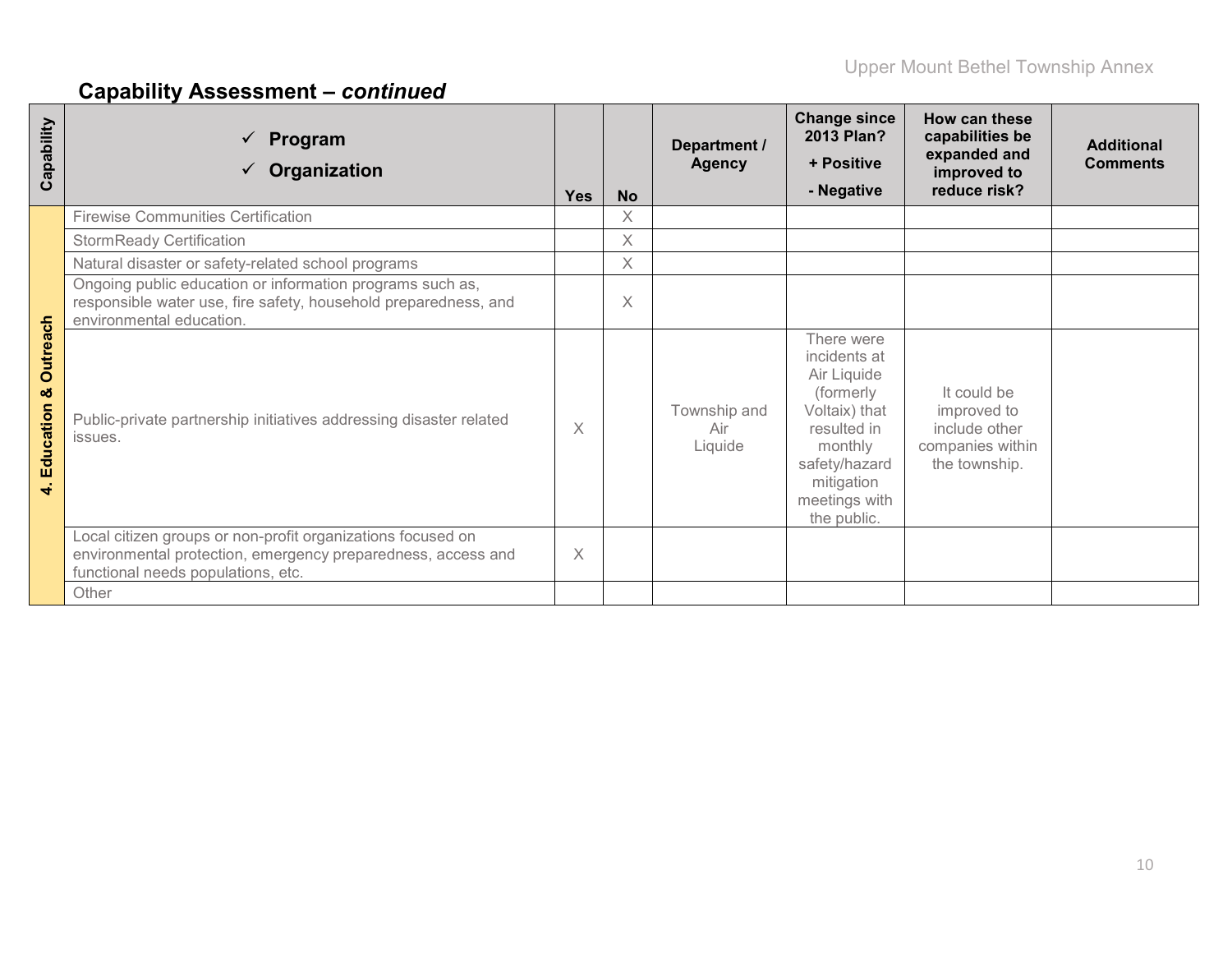| Capability                                                | $\checkmark$ Program<br>Organization                                                                                                                              | <b>Yes</b> | <b>No</b> | Department /<br><b>Agency</b>  | <b>Change since</b><br>2013 Plan?<br>+ Positive<br>- Negative                                                                                                    | How can these<br>capabilities be<br>expanded and<br>improved to<br>reduce risk?  | <b>Additional</b><br><b>Comments</b> |
|-----------------------------------------------------------|-------------------------------------------------------------------------------------------------------------------------------------------------------------------|------------|-----------|--------------------------------|------------------------------------------------------------------------------------------------------------------------------------------------------------------|----------------------------------------------------------------------------------|--------------------------------------|
|                                                           | <b>Firewise Communities Certification</b>                                                                                                                         |            | X         |                                |                                                                                                                                                                  |                                                                                  |                                      |
|                                                           | <b>StormReady Certification</b>                                                                                                                                   |            | X         |                                |                                                                                                                                                                  |                                                                                  |                                      |
|                                                           | Natural disaster or safety-related school programs                                                                                                                |            | X         |                                |                                                                                                                                                                  |                                                                                  |                                      |
|                                                           | Ongoing public education or information programs such as,<br>responsible water use, fire safety, household preparedness, and<br>environmental education.          |            | X         |                                |                                                                                                                                                                  |                                                                                  |                                      |
| <b>Outreach</b><br>ೲ<br>Education<br>$\blacktriangleleft$ | Public-private partnership initiatives addressing disaster related<br>issues.                                                                                     | $\times$   |           | Township and<br>Air<br>Liquide | There were<br>incidents at<br>Air Liquide<br>(formerly<br>Voltaix) that<br>resulted in<br>monthly<br>safety/hazard<br>mitigation<br>meetings with<br>the public. | It could be<br>improved to<br>include other<br>companies within<br>the township. |                                      |
|                                                           | Local citizen groups or non-profit organizations focused on<br>environmental protection, emergency preparedness, access and<br>functional needs populations, etc. | $\times$   |           |                                |                                                                                                                                                                  |                                                                                  |                                      |
|                                                           | Other                                                                                                                                                             |            |           |                                |                                                                                                                                                                  |                                                                                  |                                      |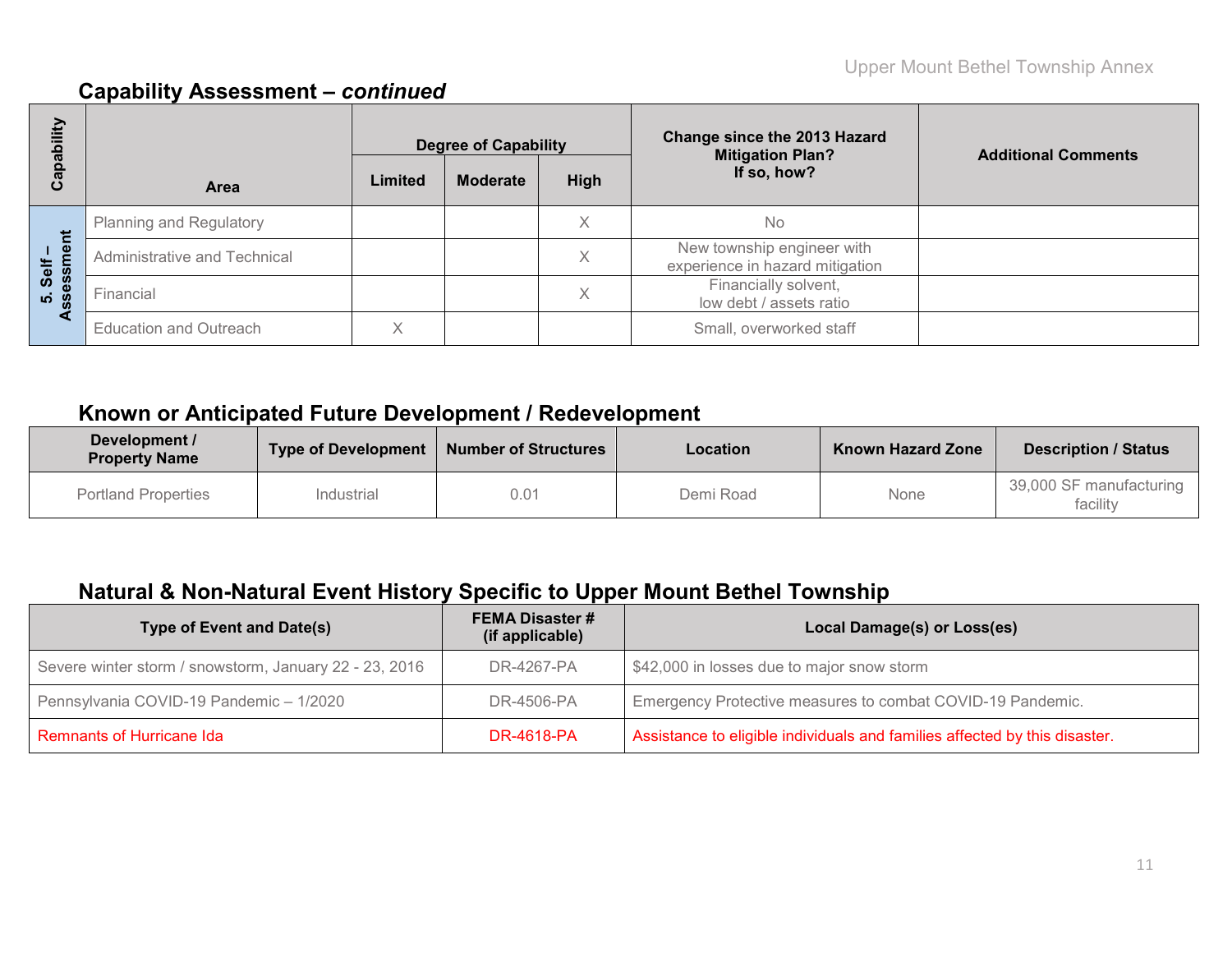| bility       |                                | <b>Degree of Capability</b> |                 |             | <b>Change since the 2013 Hazard</b><br><b>Mitigation Plan?</b> | <b>Additional Comments</b> |  |
|--------------|--------------------------------|-----------------------------|-----------------|-------------|----------------------------------------------------------------|----------------------------|--|
| Capat        | <b>Area</b>                    | Limited                     | <b>Moderate</b> | <b>High</b> | If so, how?                                                    |                            |  |
|              | <b>Planning and Regulatory</b> |                             |                 | X           | <b>No</b>                                                      |                            |  |
| ment<br>Self | Administrative and Technical   |                             |                 | X           | New township engineer with<br>experience in hazard mitigation  |                            |  |
| 5. Seis      | Financial                      |                             |                 | X           | Financially solvent,<br>low debt / assets ratio                |                            |  |
|              | <b>Education and Outreach</b>  |                             |                 |             | Small, overworked staff                                        |                            |  |

## **Known or Anticipated Future Development / Redevelopment**

| Development /<br><b>Property Name</b> | Type of Development | <b>Number of Structures</b> | Location  | <b>Known Hazard Zone</b> | <b>Description / Status</b>         |  |
|---------------------------------------|---------------------|-----------------------------|-----------|--------------------------|-------------------------------------|--|
| <b>Portland Properties</b>            | Industrial          | 0.01                        | Demi Road | None                     | 39,000 SF manufacturing<br>facility |  |

## **Natural & Non-Natural Event History Specific to Upper Mount Bethel Township**

| <b>Type of Event and Date(s)</b>                       | <b>FEMA Disaster #</b><br>(if applicable) | Local Damage(s) or Loss(es)                                                |
|--------------------------------------------------------|-------------------------------------------|----------------------------------------------------------------------------|
| Severe winter storm / snowstorm, January 22 - 23, 2016 | DR-4267-PA                                | \$42,000 in losses due to major snow storm                                 |
| Pennsylvania COVID-19 Pandemic - 1/2020                | DR-4506-PA                                | Emergency Protective measures to combat COVID-19 Pandemic.                 |
| Remnants of Hurricane Ida                              | <b>DR-4618-PA</b>                         | Assistance to eligible individuals and families affected by this disaster. |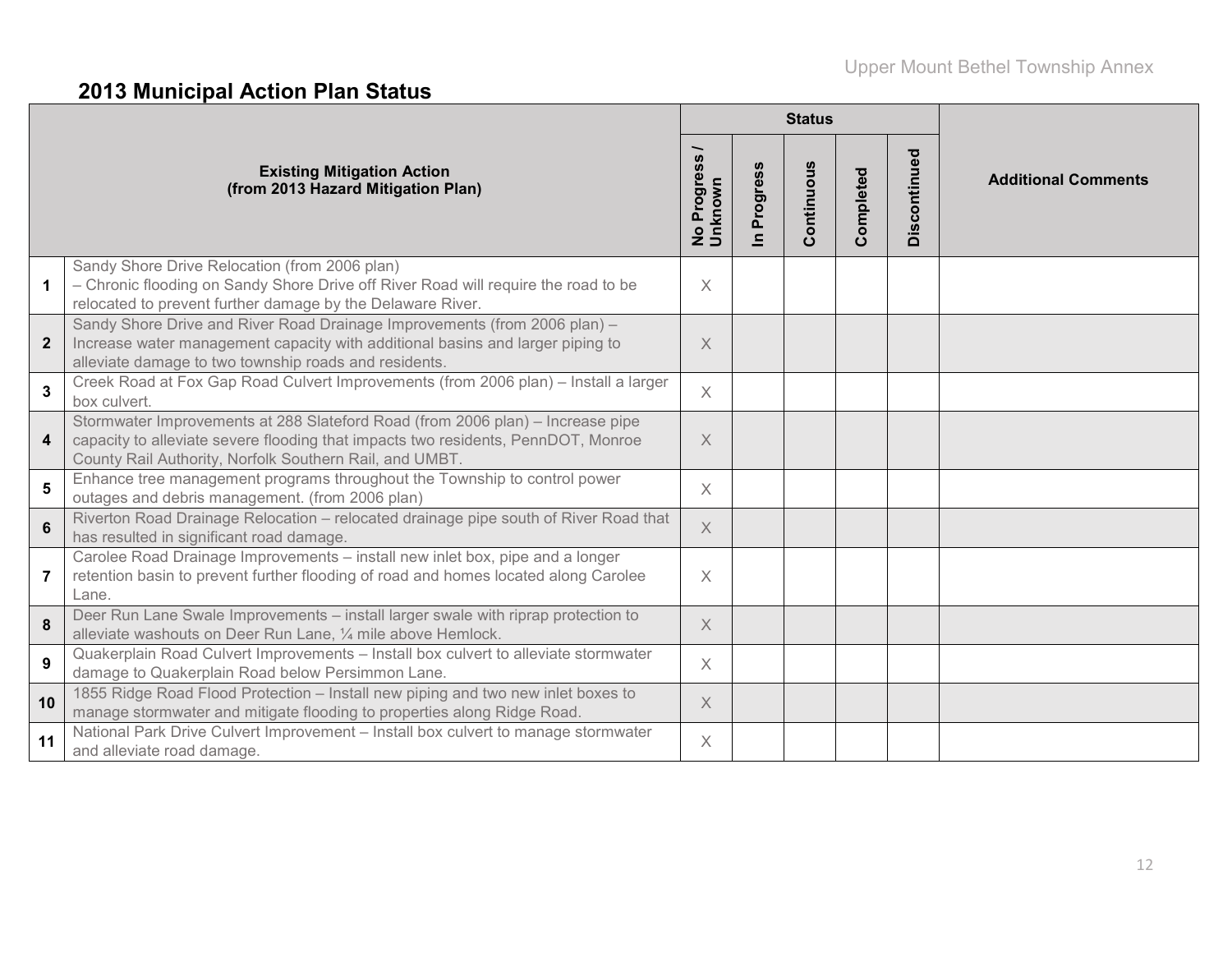# **2013 Municipal Action Plan Status**

|                  |                                                                                                                                                                                                                                |                                                                |                          | <b>Status</b> |           |              |                            |
|------------------|--------------------------------------------------------------------------------------------------------------------------------------------------------------------------------------------------------------------------------|----------------------------------------------------------------|--------------------------|---------------|-----------|--------------|----------------------------|
|                  | <b>Existing Mitigation Action</b><br>(from 2013 Hazard Mitigation Plan)                                                                                                                                                        | <b>S</b><br>$\ddot{\bm{v}}$<br>Progres<br>No Progre<br>Unknown | Progress<br>$\mathbf{a}$ | Continuous    | Completed | Discontinued | <b>Additional Comments</b> |
| $\mathbf 1$      | Sandy Shore Drive Relocation (from 2006 plan)<br>- Chronic flooding on Sandy Shore Drive off River Road will require the road to be<br>relocated to prevent further damage by the Delaware River.                              | $\times$                                                       |                          |               |           |              |                            |
| $\mathbf{2}$     | Sandy Shore Drive and River Road Drainage Improvements (from 2006 plan) -<br>Increase water management capacity with additional basins and larger piping to<br>alleviate damage to two township roads and residents.           | X                                                              |                          |               |           |              |                            |
| 3                | Creek Road at Fox Gap Road Culvert Improvements (from 2006 plan) - Install a larger<br>box culvert.                                                                                                                            | $\times$                                                       |                          |               |           |              |                            |
| $\boldsymbol{4}$ | Stormwater Improvements at 288 Slateford Road (from 2006 plan) - Increase pipe<br>capacity to alleviate severe flooding that impacts two residents, PennDOT, Monroe<br>County Rail Authority, Norfolk Southern Rail, and UMBT. | $\times$                                                       |                          |               |           |              |                            |
| 5                | Enhance tree management programs throughout the Township to control power<br>outages and debris management. (from 2006 plan)                                                                                                   | $\times$                                                       |                          |               |           |              |                            |
| $6\phantom{a}$   | Riverton Road Drainage Relocation - relocated drainage pipe south of River Road that<br>has resulted in significant road damage.                                                                                               | $\times$                                                       |                          |               |           |              |                            |
| 7                | Carolee Road Drainage Improvements - install new inlet box, pipe and a longer<br>retention basin to prevent further flooding of road and homes located along Carolee<br>Lane.                                                  | X                                                              |                          |               |           |              |                            |
| 8                | Deer Run Lane Swale Improvements - install larger swale with riprap protection to<br>alleviate washouts on Deer Run Lane, 1/4 mile above Hemlock.                                                                              | $\times$                                                       |                          |               |           |              |                            |
| $\boldsymbol{9}$ | Quakerplain Road Culvert Improvements - Install box culvert to alleviate stormwater<br>damage to Quakerplain Road below Persimmon Lane.                                                                                        | $\times$                                                       |                          |               |           |              |                            |
| 10               | 1855 Ridge Road Flood Protection - Install new piping and two new inlet boxes to<br>manage stormwater and mitigate flooding to properties along Ridge Road.                                                                    | $\times$                                                       |                          |               |           |              |                            |
| 11               | National Park Drive Culvert Improvement - Install box culvert to manage stormwater<br>and alleviate road damage.                                                                                                               | $\times$                                                       |                          |               |           |              |                            |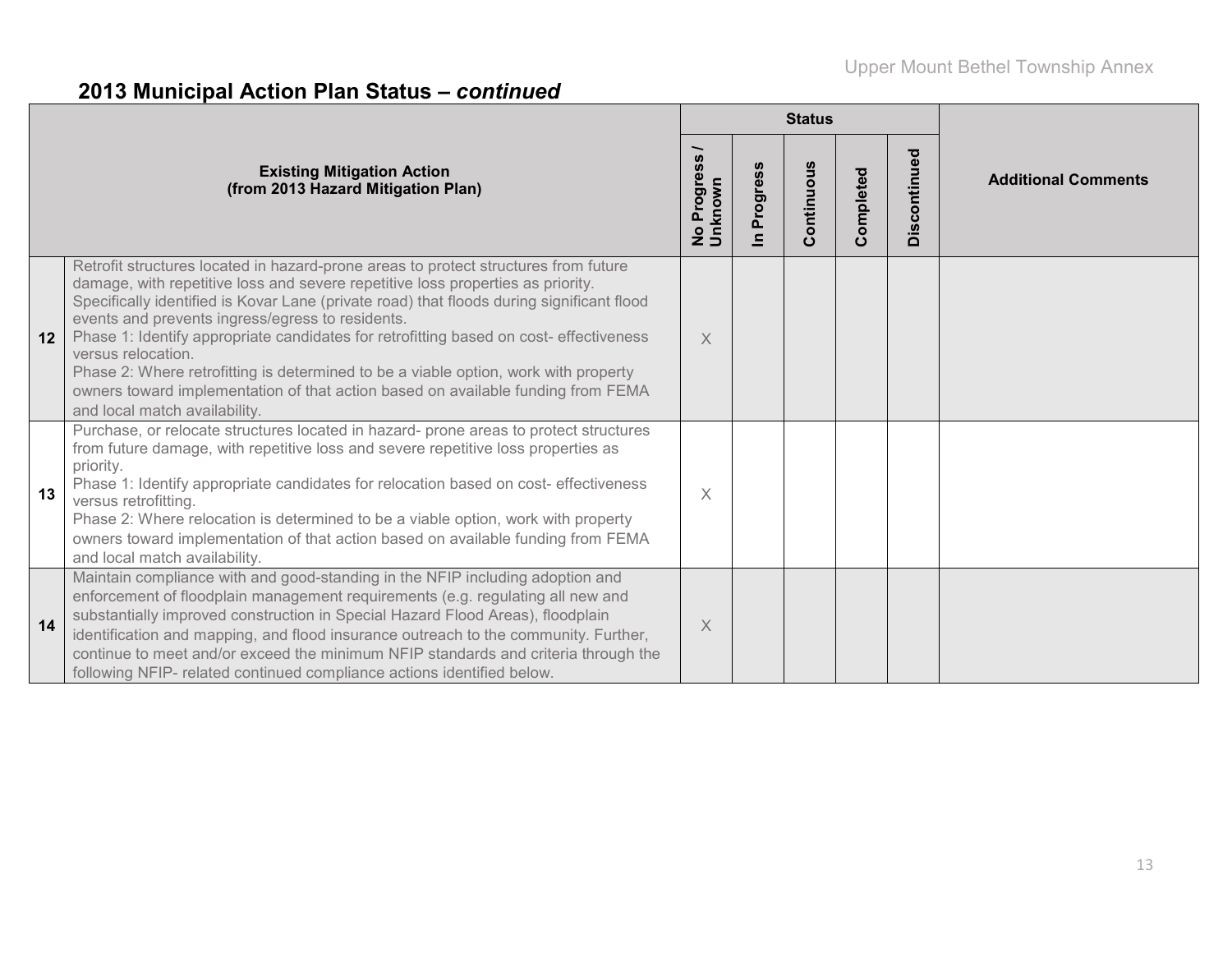# **2013 Municipal Action Plan Status –** *continued*

|    |                                                                                                                                                                                                                                                                                                                                                                                                                                                                                                                                                                                                                                                     |                                  |                                       | <b>Status</b> |               |              |                            |
|----|-----------------------------------------------------------------------------------------------------------------------------------------------------------------------------------------------------------------------------------------------------------------------------------------------------------------------------------------------------------------------------------------------------------------------------------------------------------------------------------------------------------------------------------------------------------------------------------------------------------------------------------------------------|----------------------------------|---------------------------------------|---------------|---------------|--------------|----------------------------|
|    | <b>Existing Mitigation Action</b><br>(from 2013 Hazard Mitigation Plan)                                                                                                                                                                                                                                                                                                                                                                                                                                                                                                                                                                             | Progress<br>No Progre<br>Unknown | rogress<br>$\mathbf{a}$<br>$\epsilon$ | Continuous    | ompleted<br>Õ | Discontinued | <b>Additional Comments</b> |
| 12 | Retrofit structures located in hazard-prone areas to protect structures from future<br>damage, with repetitive loss and severe repetitive loss properties as priority.<br>Specifically identified is Kovar Lane (private road) that floods during significant flood<br>events and prevents ingress/egress to residents.<br>Phase 1: Identify appropriate candidates for retrofitting based on cost- effectiveness<br>versus relocation.<br>Phase 2: Where retrofitting is determined to be a viable option, work with property<br>owners toward implementation of that action based on available funding from FEMA<br>and local match availability. | $\times$                         |                                       |               |               |              |                            |
| 13 | Purchase, or relocate structures located in hazard- prone areas to protect structures<br>from future damage, with repetitive loss and severe repetitive loss properties as<br>priority.<br>Phase 1: Identify appropriate candidates for relocation based on cost- effectiveness<br>versus retrofitting.<br>Phase 2: Where relocation is determined to be a viable option, work with property<br>owners toward implementation of that action based on available funding from FEMA<br>and local match availability.                                                                                                                                   | $\times$                         |                                       |               |               |              |                            |
| 14 | Maintain compliance with and good-standing in the NFIP including adoption and<br>enforcement of floodplain management requirements (e.g. regulating all new and<br>substantially improved construction in Special Hazard Flood Areas), floodplain<br>identification and mapping, and flood insurance outreach to the community. Further,<br>continue to meet and/or exceed the minimum NFIP standards and criteria through the<br>following NFIP- related continued compliance actions identified below.                                                                                                                                            | $\times$                         |                                       |               |               |              |                            |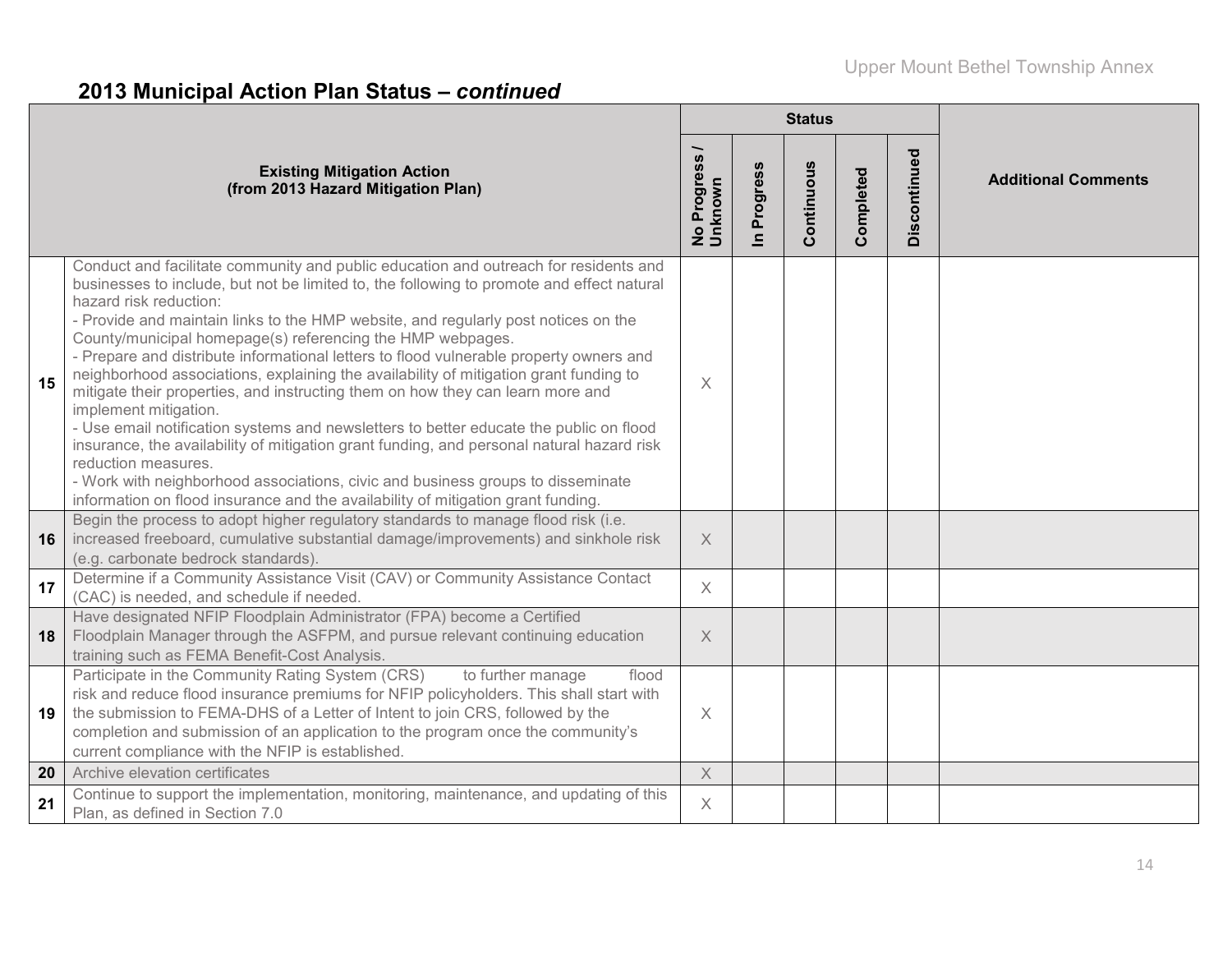# **2013 Municipal Action Plan Status –** *continued*

|    |                                                                                                                                                                                                                                                                                                                                                                                                                                                                                                                                                                                                                                                                                                                                                                                                                                                                                                                                                                                                                                                    |                                   |                            | <b>Status</b> |           |              |                            |
|----|----------------------------------------------------------------------------------------------------------------------------------------------------------------------------------------------------------------------------------------------------------------------------------------------------------------------------------------------------------------------------------------------------------------------------------------------------------------------------------------------------------------------------------------------------------------------------------------------------------------------------------------------------------------------------------------------------------------------------------------------------------------------------------------------------------------------------------------------------------------------------------------------------------------------------------------------------------------------------------------------------------------------------------------------------|-----------------------------------|----------------------------|---------------|-----------|--------------|----------------------------|
|    | <b>Existing Mitigation Action</b><br>(from 2013 Hazard Mitigation Plan)                                                                                                                                                                                                                                                                                                                                                                                                                                                                                                                                                                                                                                                                                                                                                                                                                                                                                                                                                                            | Progress<br>No Progres<br>Unknown | Progress<br>$\overline{a}$ | Continuous    | Completed | Discontinued | <b>Additional Comments</b> |
| 15 | Conduct and facilitate community and public education and outreach for residents and<br>businesses to include, but not be limited to, the following to promote and effect natural<br>hazard risk reduction:<br>- Provide and maintain links to the HMP website, and regularly post notices on the<br>County/municipal homepage(s) referencing the HMP webpages.<br>- Prepare and distribute informational letters to flood vulnerable property owners and<br>neighborhood associations, explaining the availability of mitigation grant funding to<br>mitigate their properties, and instructing them on how they can learn more and<br>implement mitigation.<br>- Use email notification systems and newsletters to better educate the public on flood<br>insurance, the availability of mitigation grant funding, and personal natural hazard risk<br>reduction measures.<br>- Work with neighborhood associations, civic and business groups to disseminate<br>information on flood insurance and the availability of mitigation grant funding. | $\times$                          |                            |               |           |              |                            |
| 16 | Begin the process to adopt higher regulatory standards to manage flood risk (i.e.<br>increased freeboard, cumulative substantial damage/improvements) and sinkhole risk<br>(e.g. carbonate bedrock standards)                                                                                                                                                                                                                                                                                                                                                                                                                                                                                                                                                                                                                                                                                                                                                                                                                                      | $\times$                          |                            |               |           |              |                            |
| 17 | Determine if a Community Assistance Visit (CAV) or Community Assistance Contact<br>(CAC) is needed, and schedule if needed.                                                                                                                                                                                                                                                                                                                                                                                                                                                                                                                                                                                                                                                                                                                                                                                                                                                                                                                        | $\times$                          |                            |               |           |              |                            |
| 18 | Have designated NFIP Floodplain Administrator (FPA) become a Certified<br>Floodplain Manager through the ASFPM, and pursue relevant continuing education<br>training such as FEMA Benefit-Cost Analysis.                                                                                                                                                                                                                                                                                                                                                                                                                                                                                                                                                                                                                                                                                                                                                                                                                                           | $\times$                          |                            |               |           |              |                            |
| 19 | Participate in the Community Rating System (CRS)<br>to further manage<br>flood<br>risk and reduce flood insurance premiums for NFIP policyholders. This shall start with<br>the submission to FEMA-DHS of a Letter of Intent to join CRS, followed by the<br>completion and submission of an application to the program once the community's<br>current compliance with the NFIP is established.                                                                                                                                                                                                                                                                                                                                                                                                                                                                                                                                                                                                                                                   | $\times$                          |                            |               |           |              |                            |
| 20 | Archive elevation certificates                                                                                                                                                                                                                                                                                                                                                                                                                                                                                                                                                                                                                                                                                                                                                                                                                                                                                                                                                                                                                     | $\times$                          |                            |               |           |              |                            |
| 21 | Continue to support the implementation, monitoring, maintenance, and updating of this<br>Plan, as defined in Section 7.0                                                                                                                                                                                                                                                                                                                                                                                                                                                                                                                                                                                                                                                                                                                                                                                                                                                                                                                           | $\times$                          |                            |               |           |              |                            |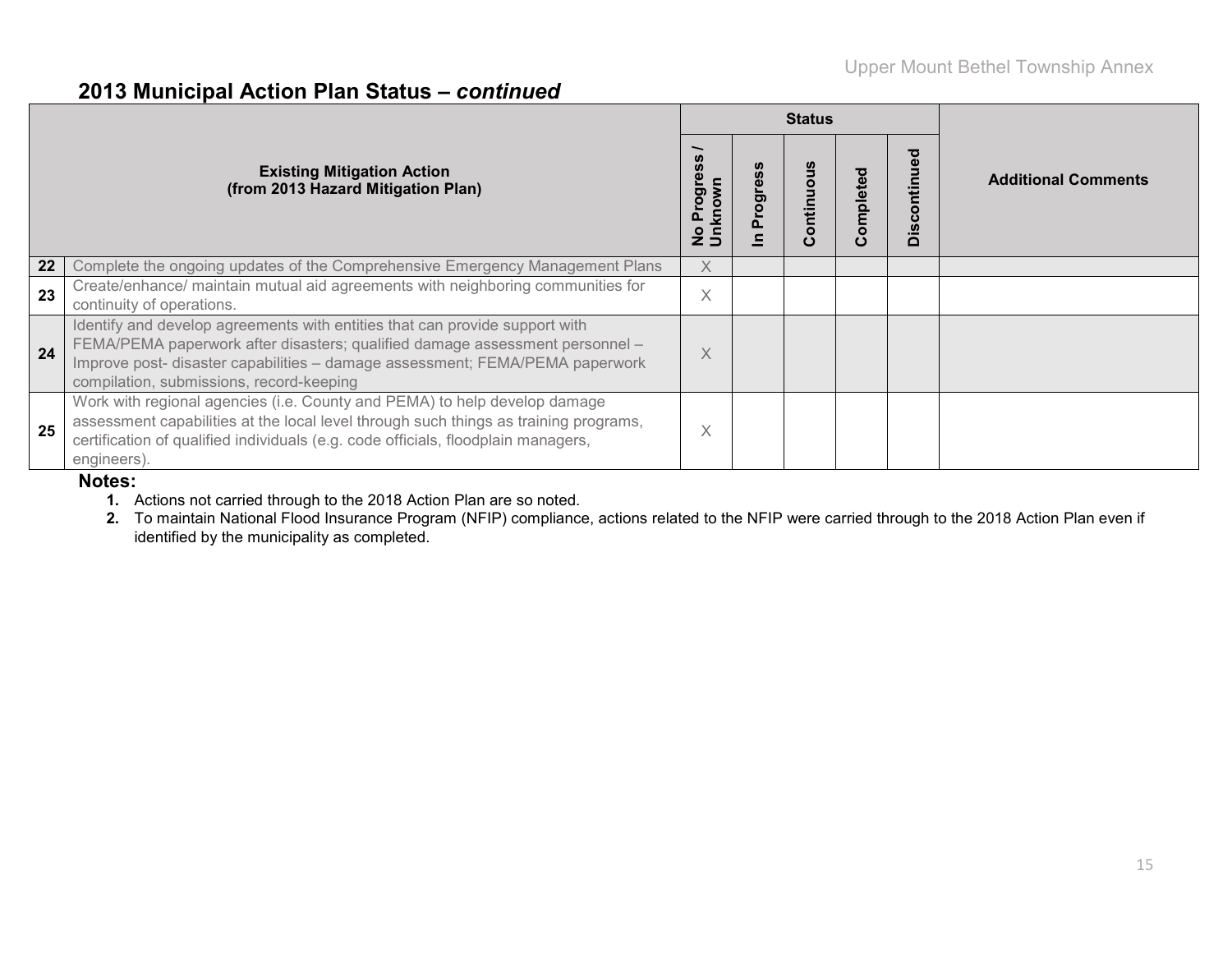### **2013 Municipal Action Plan Status –** *continued*

|    |                                                                                                                                                                                                                                                                                         |             |              | <b>Status</b> |              |                  |                            |
|----|-----------------------------------------------------------------------------------------------------------------------------------------------------------------------------------------------------------------------------------------------------------------------------------------|-------------|--------------|---------------|--------------|------------------|----------------------------|
|    | <b>Existing Mitigation Action</b><br>(from 2013 Hazard Mitigation Plan)                                                                                                                                                                                                                 | Jnknow<br>ත | ဖိ<br>rogres | ontinuous     | mpleted<br>ω | ntinued<br>Disco | <b>Additional Comments</b> |
| 22 | Complete the ongoing updates of the Comprehensive Emergency Management Plans                                                                                                                                                                                                            | $\times$    |              |               |              |                  |                            |
| 23 | Create/enhance/ maintain mutual aid agreements with neighboring communities for<br>continuity of operations.                                                                                                                                                                            | X           |              |               |              |                  |                            |
| 24 | Identify and develop agreements with entities that can provide support with<br>FEMA/PEMA paperwork after disasters; qualified damage assessment personnel -<br>Improve post- disaster capabilities - damage assessment; FEMA/PEMA paperwork<br>compilation, submissions, record-keeping | X           |              |               |              |                  |                            |
| 25 | Work with regional agencies (i.e. County and PEMA) to help develop damage<br>assessment capabilities at the local level through such things as training programs,<br>certification of qualified individuals (e.g. code officials, floodplain managers,<br>engineers).                   | X           |              |               |              |                  |                            |

#### **Notes:**

**1.** Actions not carried through to the 2018 Action Plan are so noted.

**2.** To maintain National Flood Insurance Program (NFIP) compliance, actions related to the NFIP were carried through to the 2018 Action Plan even if identified by the municipality as completed.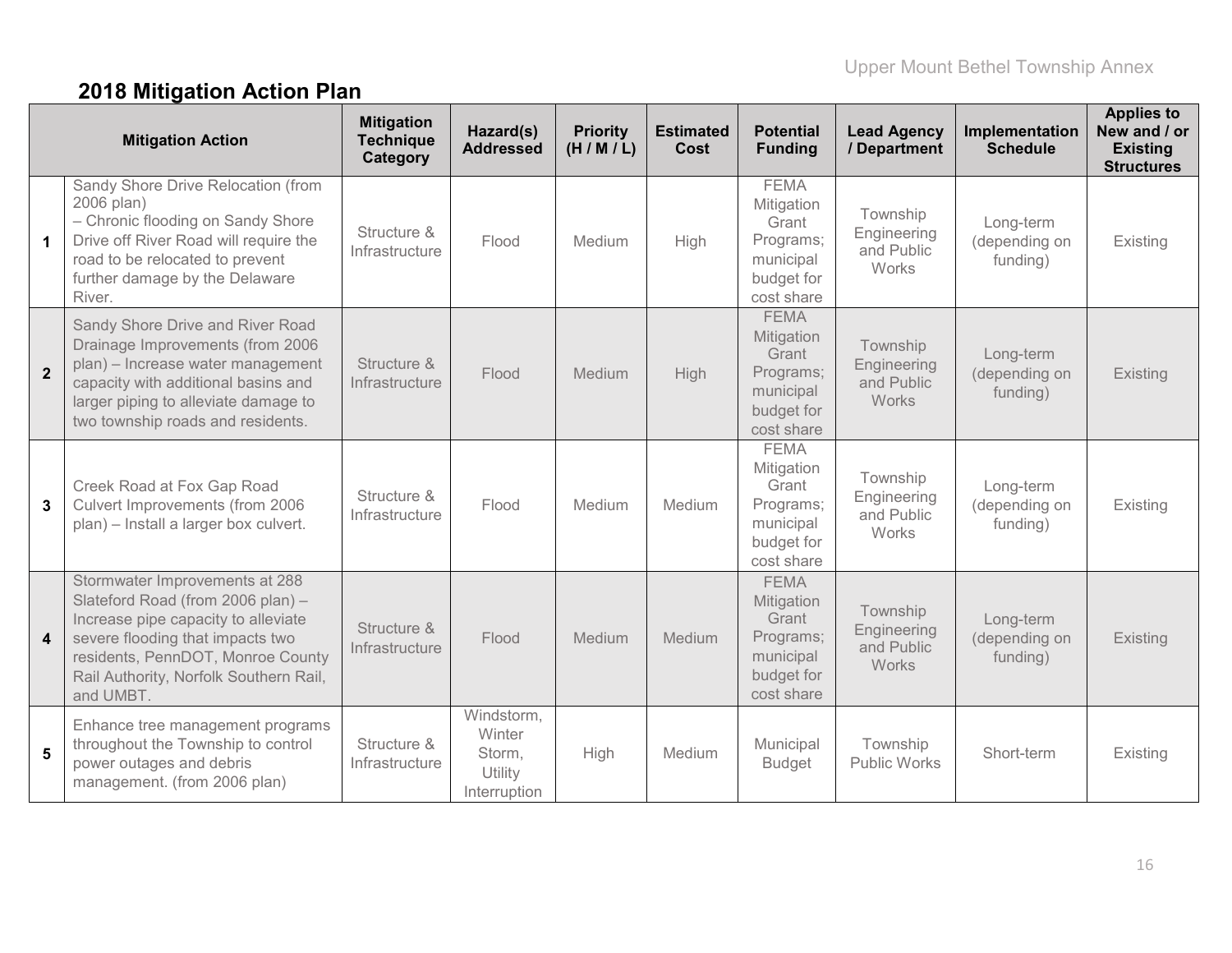# **2018 Mitigation Action Plan**

|                         | <b>Mitigation Action</b>                                                                                                                                                                                                                   | <b>Mitigation</b><br><b>Technique</b><br>Category | Hazard(s)<br><b>Addressed</b>                             | <b>Priority</b><br>(H/M/L) | <b>Estimated</b><br>Cost | <b>Potential</b><br><b>Funding</b>                                                       | <b>Lead Agency</b><br>/ Department                    | Implementation<br><b>Schedule</b>      | <b>Applies to</b><br>New and / or<br><b>Existing</b><br><b>Structures</b> |
|-------------------------|--------------------------------------------------------------------------------------------------------------------------------------------------------------------------------------------------------------------------------------------|---------------------------------------------------|-----------------------------------------------------------|----------------------------|--------------------------|------------------------------------------------------------------------------------------|-------------------------------------------------------|----------------------------------------|---------------------------------------------------------------------------|
| $\mathbf 1$             | Sandy Shore Drive Relocation (from<br>2006 plan)<br>- Chronic flooding on Sandy Shore<br>Drive off River Road will require the<br>road to be relocated to prevent<br>further damage by the Delaware<br>River.                              | Structure &<br>Infrastructure                     | Flood                                                     | Medium                     | <b>High</b>              | <b>FEMA</b><br>Mitigation<br>Grant<br>Programs;<br>municipal<br>budget for<br>cost share | Township<br>Engineering<br>and Public<br>Works        | Long-term<br>(depending on<br>funding) | Existing                                                                  |
| $\overline{2}$          | Sandy Shore Drive and River Road<br>Drainage Improvements (from 2006<br>plan) - Increase water management<br>capacity with additional basins and<br>larger piping to alleviate damage to<br>two township roads and residents.              | Structure &<br>Infrastructure                     | Flood                                                     | Medium                     | <b>High</b>              | <b>FEMA</b><br>Mitigation<br>Grant<br>Programs;<br>municipal<br>budget for<br>cost share | Township<br>Engineering<br>and Public<br><b>Works</b> | Long-term<br>(depending on<br>funding) | Existing                                                                  |
| 3                       | Creek Road at Fox Gap Road<br>Culvert Improvements (from 2006<br>plan) - Install a larger box culvert.                                                                                                                                     | Structure &<br>Infrastructure                     | Flood                                                     | Medium                     | Medium                   | <b>FEMA</b><br>Mitigation<br>Grant<br>Programs;<br>municipal<br>budget for<br>cost share | Township<br>Engineering<br>and Public<br>Works        | Long-term<br>(depending on<br>funding) | Existing                                                                  |
| $\overline{\mathbf{4}}$ | Stormwater Improvements at 288<br>Slateford Road (from 2006 plan) -<br>Increase pipe capacity to alleviate<br>severe flooding that impacts two<br>residents, PennDOT, Monroe County<br>Rail Authority, Norfolk Southern Rail,<br>and UMBT. | Structure &<br>Infrastructure                     | Flood                                                     | Medium                     | Medium                   | <b>FEMA</b><br>Mitigation<br>Grant<br>Programs;<br>municipal<br>budget for<br>cost share | Township<br>Engineering<br>and Public<br>Works        | Long-term<br>(depending on<br>funding) | Existing                                                                  |
| 5                       | Enhance tree management programs<br>throughout the Township to control<br>power outages and debris<br>management. (from 2006 plan)                                                                                                         | Structure &<br>Infrastructure                     | Windstorm,<br>Winter<br>Storm,<br>Utility<br>Interruption | High                       | Medium                   | Municipal<br><b>Budget</b>                                                               | Township<br><b>Public Works</b>                       | Short-term                             | Existing                                                                  |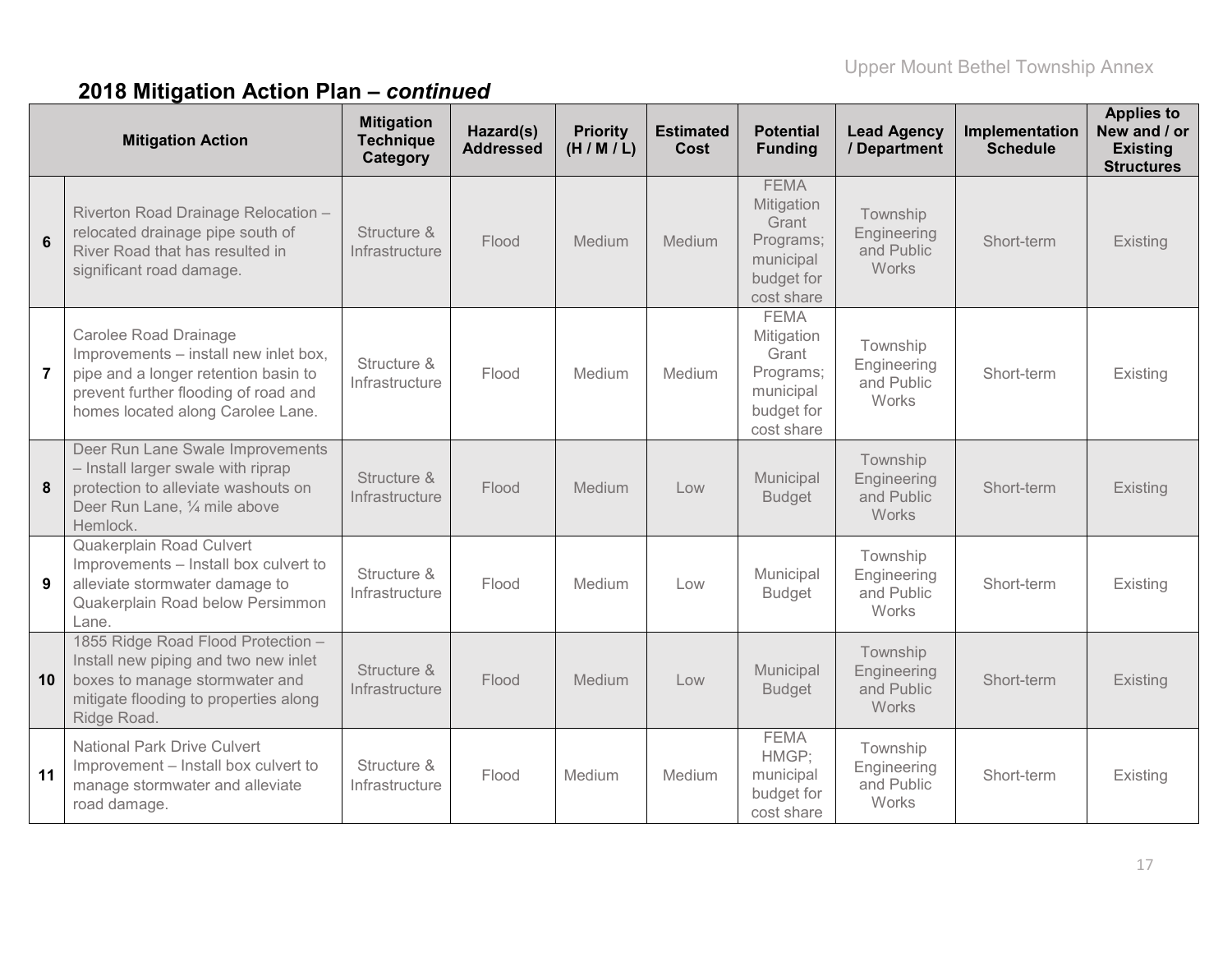|                 | <b>Mitigation Action</b>                                                                                                                                                                   | <b>Mitigation</b><br><b>Technique</b><br>Category | Hazard(s)<br><b>Addressed</b> | <b>Priority</b><br>(H/M/L) | <b>Estimated</b><br>Cost | <b>Potential</b><br><b>Funding</b>                                                       | <b>Lead Agency</b><br>/ Department                    | Implementation<br><b>Schedule</b> | <b>Applies to</b><br>New and / or<br><b>Existing</b><br><b>Structures</b> |
|-----------------|--------------------------------------------------------------------------------------------------------------------------------------------------------------------------------------------|---------------------------------------------------|-------------------------------|----------------------------|--------------------------|------------------------------------------------------------------------------------------|-------------------------------------------------------|-----------------------------------|---------------------------------------------------------------------------|
| $6\phantom{1}6$ | Riverton Road Drainage Relocation -<br>relocated drainage pipe south of<br>River Road that has resulted in<br>significant road damage.                                                     | Structure &<br>Infrastructure                     | Flood                         | Medium                     | Medium                   | <b>FEMA</b><br>Mitigation<br>Grant<br>Programs;<br>municipal<br>budget for<br>cost share | Township<br>Engineering<br>and Public<br>Works        | Short-term                        | <b>Existing</b>                                                           |
| $\overline{7}$  | <b>Carolee Road Drainage</b><br>Improvements - install new inlet box,<br>pipe and a longer retention basin to<br>prevent further flooding of road and<br>homes located along Carolee Lane. | Structure &<br>Infrastructure                     | Flood                         | Medium                     | Medium                   | <b>FEMA</b><br>Mitigation<br>Grant<br>Programs;<br>municipal<br>budget for<br>cost share | Township<br>Engineering<br>and Public<br>Works        | Short-term                        | Existing                                                                  |
| 8               | Deer Run Lane Swale Improvements<br>- Install larger swale with riprap<br>protection to alleviate washouts on<br>Deer Run Lane, 1/4 mile above<br>Hemlock.                                 | Structure &<br>Infrastructure                     | Flood                         | Medium                     | Low                      | Municipal<br><b>Budget</b>                                                               | Township<br>Engineering<br>and Public<br>Works        | Short-term                        | <b>Existing</b>                                                           |
| 9               | Quakerplain Road Culvert<br>Improvements - Install box culvert to<br>alleviate stormwater damage to<br>Quakerplain Road below Persimmon<br>Lane.                                           | Structure &<br>Infrastructure                     | Flood                         | Medium                     | Low                      | Municipal<br><b>Budget</b>                                                               | Township<br>Engineering<br>and Public<br>Works        | Short-term                        | Existing                                                                  |
| 10              | 1855 Ridge Road Flood Protection -<br>Install new piping and two new inlet<br>boxes to manage stormwater and<br>mitigate flooding to properties along<br>Ridge Road.                       | Structure &<br>Infrastructure                     | Flood                         | Medium                     | Low                      | Municipal<br><b>Budget</b>                                                               | Township<br>Engineering<br>and Public<br><b>Works</b> | Short-term                        | <b>Existing</b>                                                           |
| 11              | <b>National Park Drive Culvert</b><br>Improvement - Install box culvert to<br>manage stormwater and alleviate<br>road damage.                                                              | Structure &<br>Infrastructure                     | Flood                         | Medium                     | Medium                   | <b>FEMA</b><br>HMGP;<br>municipal<br>budget for<br>cost share                            | Township<br>Engineering<br>and Public<br>Works        | Short-term                        | Existing                                                                  |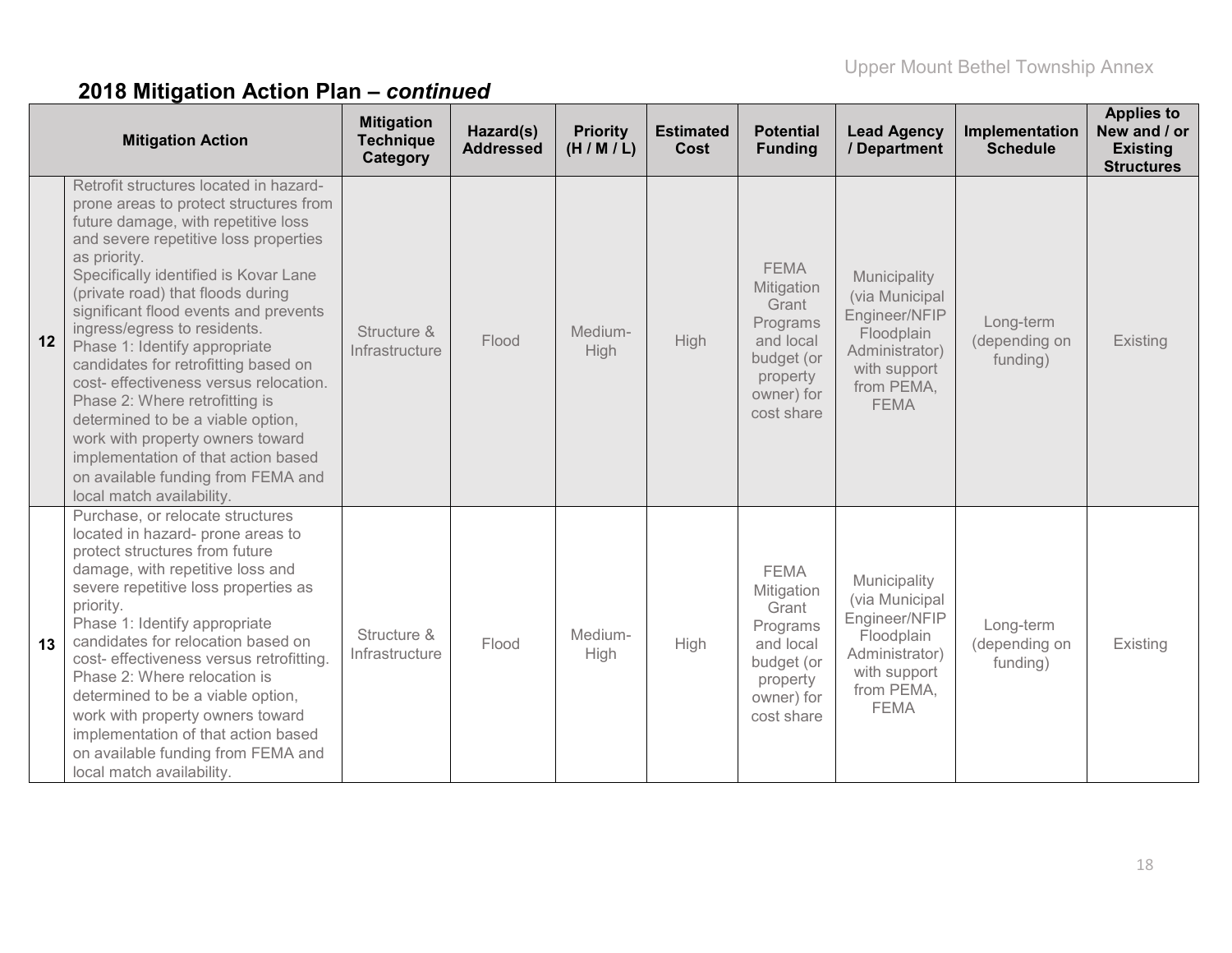|                 | <b>Mitigation Action</b>                                                                                                                                                                                                                                                                                                                                                                                                                                                                                                                                                                                                                                                        | <b>Mitigation</b><br><b>Technique</b><br>Category | Hazard(s)<br><b>Addressed</b> | <b>Priority</b><br>(H/M/L) | <b>Estimated</b><br>Cost | <b>Potential</b><br><b>Funding</b>                                                                                | <b>Lead Agency</b><br>/ Department                                                                                           | Implementation<br><b>Schedule</b>      | <b>Applies to</b><br>New and / or<br><b>Existing</b><br><b>Structures</b> |
|-----------------|---------------------------------------------------------------------------------------------------------------------------------------------------------------------------------------------------------------------------------------------------------------------------------------------------------------------------------------------------------------------------------------------------------------------------------------------------------------------------------------------------------------------------------------------------------------------------------------------------------------------------------------------------------------------------------|---------------------------------------------------|-------------------------------|----------------------------|--------------------------|-------------------------------------------------------------------------------------------------------------------|------------------------------------------------------------------------------------------------------------------------------|----------------------------------------|---------------------------------------------------------------------------|
| 12 <sup>7</sup> | Retrofit structures located in hazard-<br>prone areas to protect structures from<br>future damage, with repetitive loss<br>and severe repetitive loss properties<br>as priority.<br>Specifically identified is Kovar Lane<br>(private road) that floods during<br>significant flood events and prevents<br>ingress/egress to residents.<br>Phase 1: Identify appropriate<br>candidates for retrofitting based on<br>cost- effectiveness versus relocation.<br>Phase 2: Where retrofitting is<br>determined to be a viable option,<br>work with property owners toward<br>implementation of that action based<br>on available funding from FEMA and<br>local match availability. | Structure &<br>Infrastructure                     | Flood                         | Medium-<br>High            | <b>High</b>              | <b>FEMA</b><br>Mitigation<br>Grant<br>Programs<br>and local<br>budget (or<br>property<br>owner) for<br>cost share | Municipality<br>(via Municipal<br>Engineer/NFIP<br>Floodplain<br>Administrator)<br>with support<br>from PEMA,<br><b>FEMA</b> | Long-term<br>(depending on<br>funding) | Existing                                                                  |
| 13              | Purchase, or relocate structures<br>located in hazard- prone areas to<br>protect structures from future<br>damage, with repetitive loss and<br>severe repetitive loss properties as<br>priority.<br>Phase 1: Identify appropriate<br>candidates for relocation based on<br>cost- effectiveness versus retrofitting.<br>Phase 2: Where relocation is<br>determined to be a viable option,<br>work with property owners toward<br>implementation of that action based<br>on available funding from FEMA and<br>local match availability.                                                                                                                                          | Structure &<br>Infrastructure                     | Flood                         | Medium-<br>High            | High                     | <b>FEMA</b><br>Mitigation<br>Grant<br>Programs<br>and local<br>budget (or<br>property<br>owner) for<br>cost share | Municipality<br>(via Municipal<br>Engineer/NFIP<br>Floodplain<br>Administrator)<br>with support<br>from PEMA,<br><b>FEMA</b> | Long-term<br>(depending on<br>funding) | Existing                                                                  |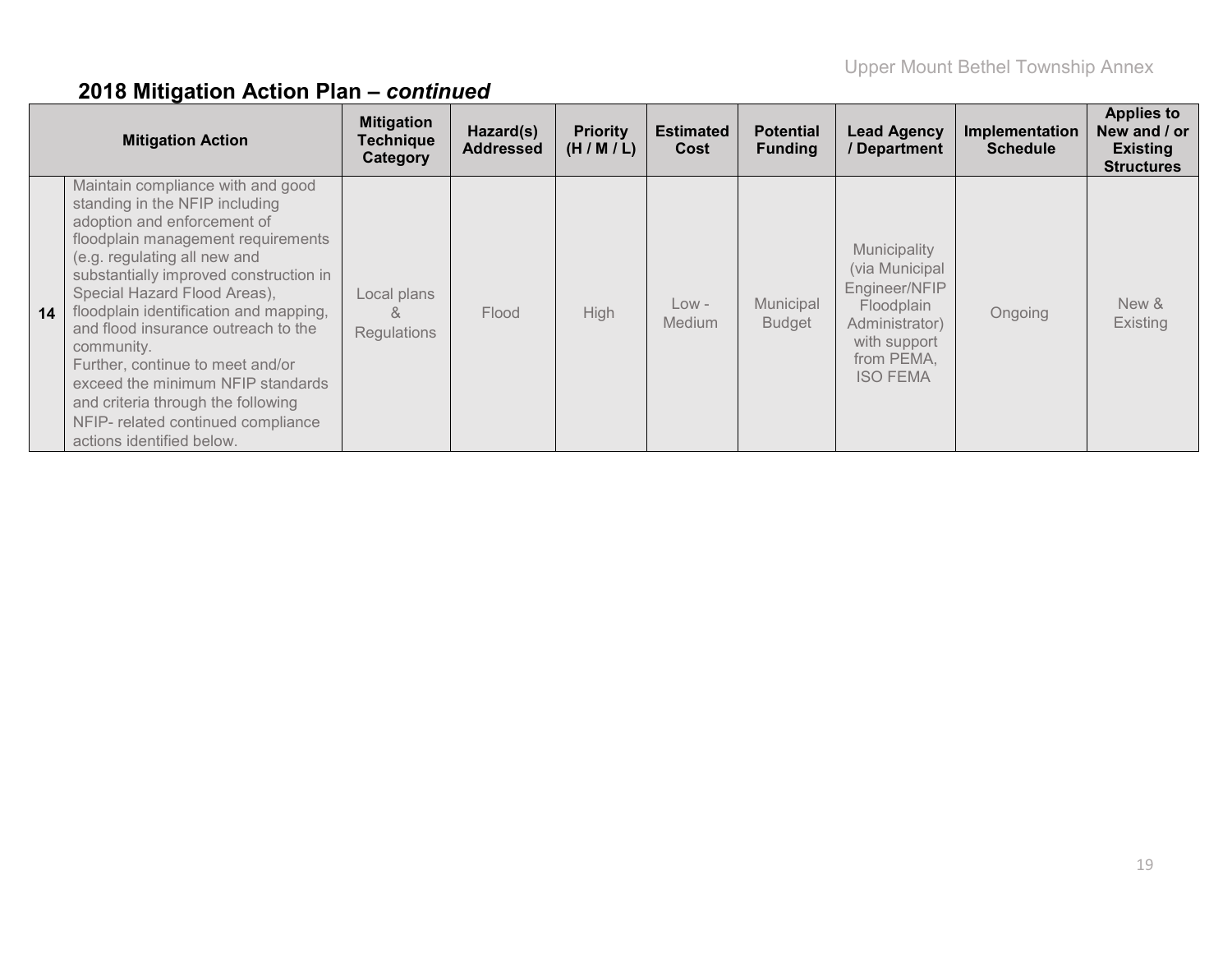|    | <b>Mitigation Action</b>                                                                                                                                                                                                                                                                                                                                                                                                                                                                                                            | <b>Mitigation</b><br><b>Technique</b><br>Category | Hazard(s)<br><b>Addressed</b> | <b>Priority</b><br>(H/M/L) | <b>Estimated</b><br>Cost | <b>Potential</b><br><b>Funding</b> | <b>Lead Agency</b><br>/ Department                                                                                               | Implementation<br><b>Schedule</b> | <b>Applies to</b><br>New and / or<br><b>Existing</b><br><b>Structures</b> |
|----|-------------------------------------------------------------------------------------------------------------------------------------------------------------------------------------------------------------------------------------------------------------------------------------------------------------------------------------------------------------------------------------------------------------------------------------------------------------------------------------------------------------------------------------|---------------------------------------------------|-------------------------------|----------------------------|--------------------------|------------------------------------|----------------------------------------------------------------------------------------------------------------------------------|-----------------------------------|---------------------------------------------------------------------------|
| 14 | Maintain compliance with and good<br>standing in the NFIP including<br>adoption and enforcement of<br>floodplain management requirements<br>(e.g. regulating all new and<br>substantially improved construction in<br>Special Hazard Flood Areas),<br>floodplain identification and mapping,<br>and flood insurance outreach to the<br>community.<br>Further, continue to meet and/or<br>exceed the minimum NFIP standards<br>and criteria through the following<br>NFIP- related continued compliance<br>actions identified below. | Local plans<br>&<br><b>Regulations</b>            | Flood                         | High                       | $Low -$<br><b>Medium</b> | Municipal<br><b>Budget</b>         | Municipality<br>(via Municipal<br>Engineer/NFIP<br>Floodplain<br>Administrator)<br>with support<br>from PEMA,<br><b>ISO FEMA</b> | Ongoing                           | New &<br>Existing                                                         |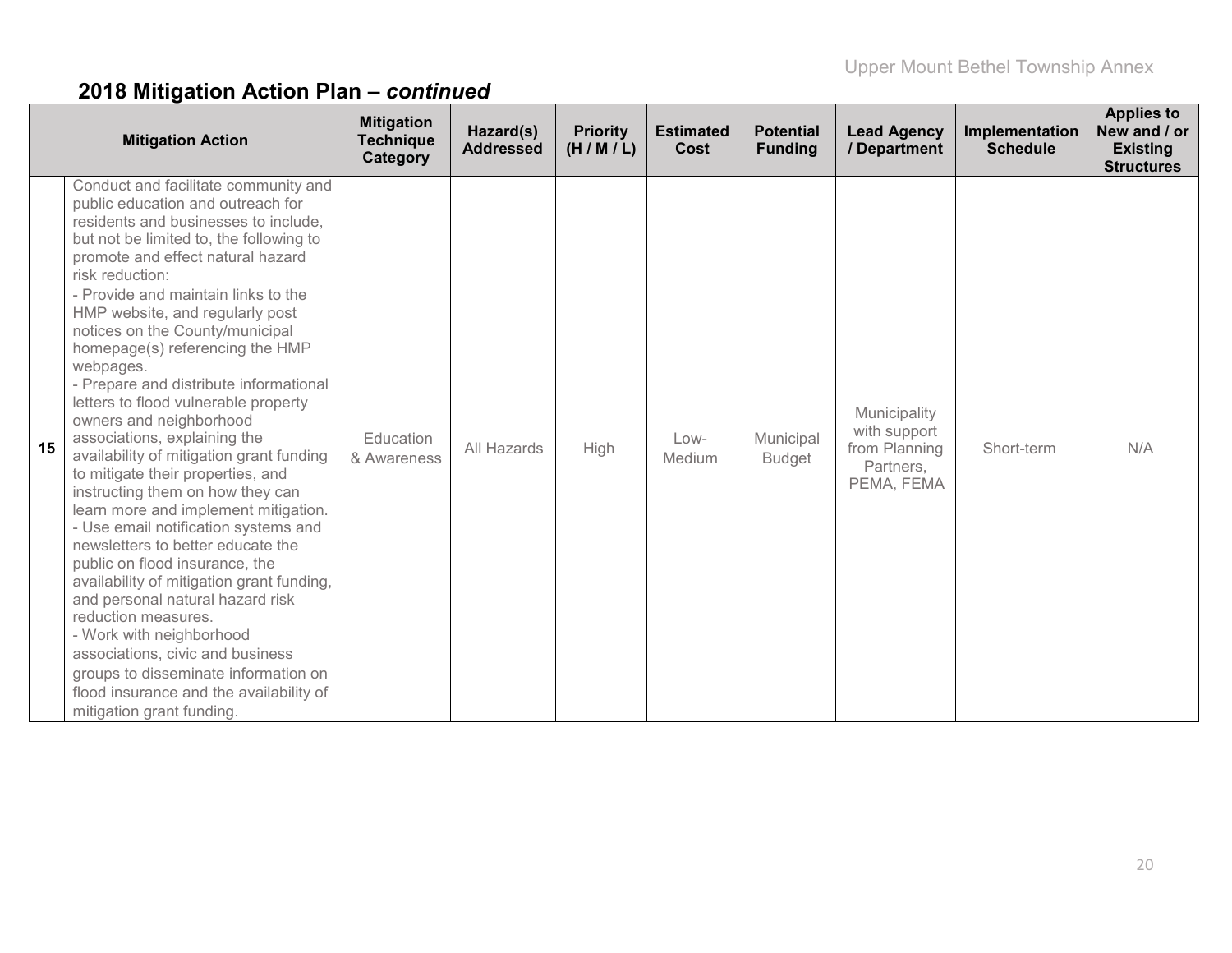|    | <b>Mitigation Action</b>                                                                                                                                                                                                                                                                                                                                                                                                                                                                                                                                                                                                                                                                                                                                                                                                                                                                                                                                                                                                                                                                           | <b>Mitigation</b><br><b>Technique</b><br>Category | Hazard(s)<br><b>Addressed</b> | <b>Priority</b><br>(H/M/L) | <b>Estimated</b><br>Cost | <b>Potential</b><br><b>Funding</b> | <b>Lead Agency</b><br>/ Department                                       | Implementation<br><b>Schedule</b> | <b>Applies to</b><br>New and / or<br><b>Existing</b><br><b>Structures</b> |
|----|----------------------------------------------------------------------------------------------------------------------------------------------------------------------------------------------------------------------------------------------------------------------------------------------------------------------------------------------------------------------------------------------------------------------------------------------------------------------------------------------------------------------------------------------------------------------------------------------------------------------------------------------------------------------------------------------------------------------------------------------------------------------------------------------------------------------------------------------------------------------------------------------------------------------------------------------------------------------------------------------------------------------------------------------------------------------------------------------------|---------------------------------------------------|-------------------------------|----------------------------|--------------------------|------------------------------------|--------------------------------------------------------------------------|-----------------------------------|---------------------------------------------------------------------------|
| 15 | Conduct and facilitate community and<br>public education and outreach for<br>residents and businesses to include,<br>but not be limited to, the following to<br>promote and effect natural hazard<br>risk reduction:<br>- Provide and maintain links to the<br>HMP website, and regularly post<br>notices on the County/municipal<br>homepage(s) referencing the HMP<br>webpages.<br>- Prepare and distribute informational<br>letters to flood vulnerable property<br>owners and neighborhood<br>associations, explaining the<br>availability of mitigation grant funding<br>to mitigate their properties, and<br>instructing them on how they can<br>learn more and implement mitigation.<br>- Use email notification systems and<br>newsletters to better educate the<br>public on flood insurance, the<br>availability of mitigation grant funding,<br>and personal natural hazard risk<br>reduction measures.<br>- Work with neighborhood<br>associations, civic and business<br>groups to disseminate information on<br>flood insurance and the availability of<br>mitigation grant funding. | Education<br>& Awareness                          | All Hazards                   | High                       | Low-<br>Medium           | Municipal<br><b>Budget</b>         | Municipality<br>with support<br>from Planning<br>Partners,<br>PEMA, FEMA | Short-term                        | N/A                                                                       |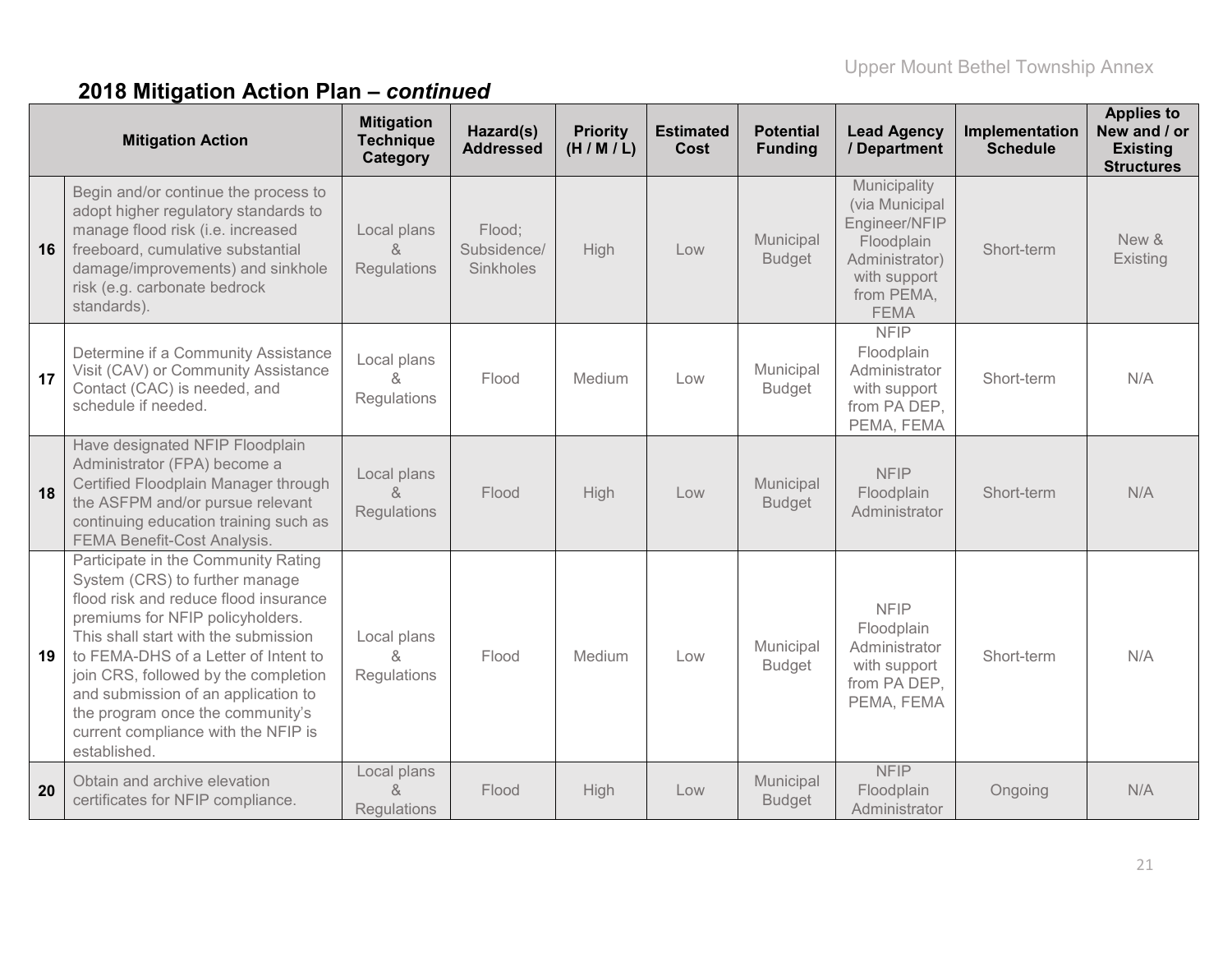|    | <b>Mitigation Action</b>                                                                                                                                                                                                                                                                                                                                                                                     | <b>Mitigation</b><br><b>Technique</b><br>Category | Hazard(s)<br><b>Addressed</b>      | <b>Priority</b><br>(H/M/L) | <b>Estimated</b><br>Cost | <b>Potential</b><br><b>Funding</b> | <b>Lead Agency</b><br>/ Department                                                                                           | Implementation<br><b>Schedule</b> | <b>Applies to</b><br>New and / or<br><b>Existing</b><br><b>Structures</b> |
|----|--------------------------------------------------------------------------------------------------------------------------------------------------------------------------------------------------------------------------------------------------------------------------------------------------------------------------------------------------------------------------------------------------------------|---------------------------------------------------|------------------------------------|----------------------------|--------------------------|------------------------------------|------------------------------------------------------------------------------------------------------------------------------|-----------------------------------|---------------------------------------------------------------------------|
| 16 | Begin and/or continue the process to<br>adopt higher regulatory standards to<br>manage flood risk (i.e. increased<br>freeboard, cumulative substantial<br>damage/improvements) and sinkhole<br>risk (e.g. carbonate bedrock<br>standards).                                                                                                                                                                   | Local plans<br>&<br>Regulations                   | Flood;<br>Subsidence/<br>Sinkholes | High                       | Low                      | Municipal<br><b>Budget</b>         | Municipality<br>(via Municipal<br>Engineer/NFIP<br>Floodplain<br>Administrator)<br>with support<br>from PEMA,<br><b>FEMA</b> | Short-term                        | New &<br>Existing                                                         |
| 17 | Determine if a Community Assistance<br>Visit (CAV) or Community Assistance<br>Contact (CAC) is needed, and<br>schedule if needed.                                                                                                                                                                                                                                                                            | Local plans<br>$\kappa$<br>Regulations            | Flood                              | Medium                     | Low                      | Municipal<br><b>Budget</b>         | <b>NFIP</b><br>Floodplain<br>Administrator<br>with support<br>from PA DEP,<br>PEMA, FEMA                                     | Short-term                        | N/A                                                                       |
| 18 | Have designated NFIP Floodplain<br>Administrator (FPA) become a<br>Certified Floodplain Manager through<br>the ASFPM and/or pursue relevant<br>continuing education training such as<br>FEMA Benefit-Cost Analysis.                                                                                                                                                                                          | Local plans<br>$\alpha$<br><b>Regulations</b>     | Flood                              | High                       | Low                      | Municipal<br><b>Budget</b>         | <b>NFIP</b><br>Floodplain<br>Administrator                                                                                   | Short-term                        | N/A                                                                       |
| 19 | Participate in the Community Rating<br>System (CRS) to further manage<br>flood risk and reduce flood insurance<br>premiums for NFIP policyholders.<br>This shall start with the submission<br>to FEMA-DHS of a Letter of Intent to<br>join CRS, followed by the completion<br>and submission of an application to<br>the program once the community's<br>current compliance with the NFIP is<br>established. | Local plans<br>&<br>Regulations                   | Flood                              | Medium                     | Low                      | Municipal<br><b>Budget</b>         | <b>NFIP</b><br>Floodplain<br>Administrator<br>with support<br>from PA DEP,<br>PEMA, FEMA                                     | Short-term                        | N/A                                                                       |
| 20 | Obtain and archive elevation<br>certificates for NFIP compliance.                                                                                                                                                                                                                                                                                                                                            | Local plans<br>&<br><b>Regulations</b>            | Flood                              | High                       | Low                      | Municipal<br><b>Budget</b>         | <b>NFIP</b><br>Floodplain<br>Administrator                                                                                   | Ongoing                           | N/A                                                                       |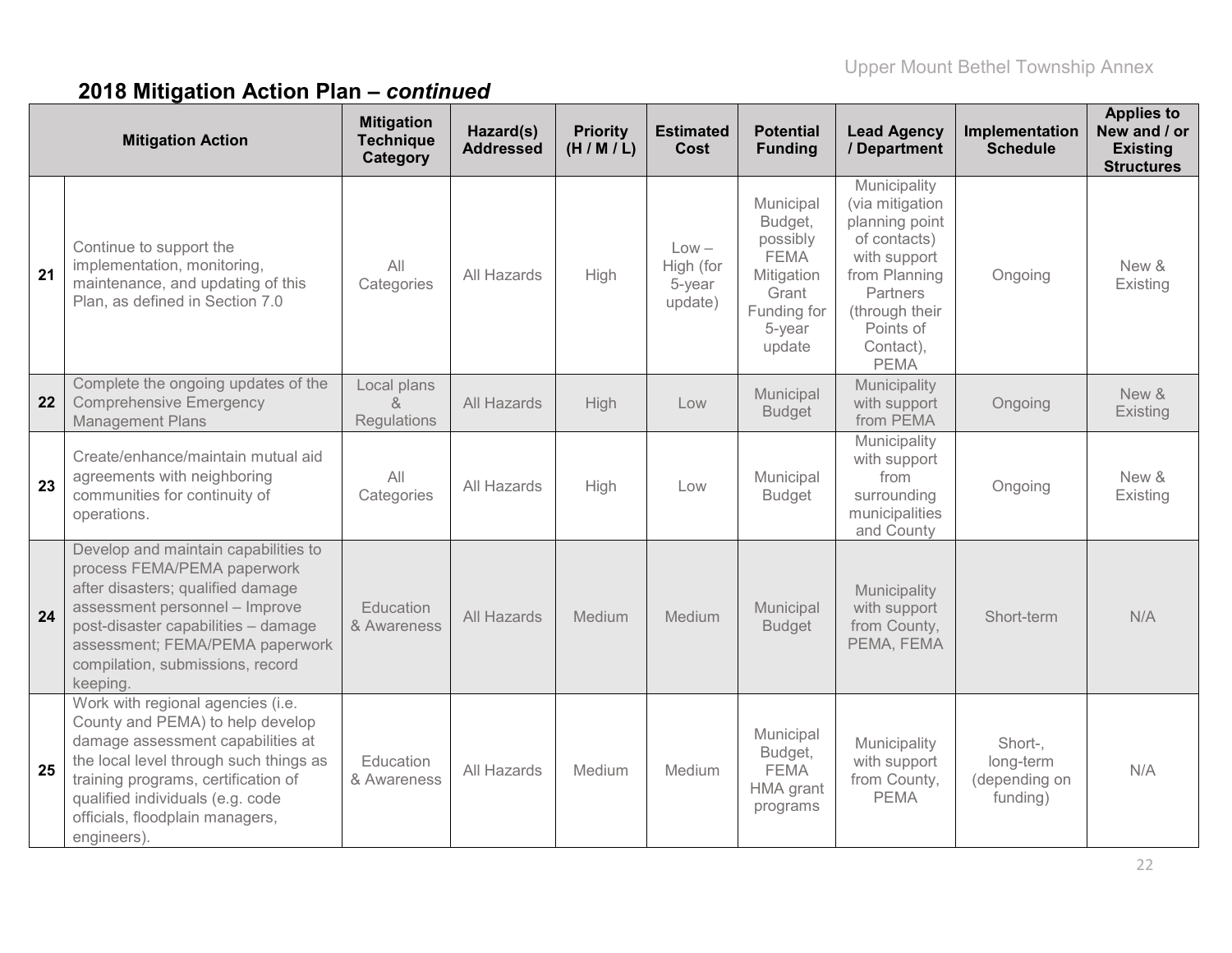|    | <b>Mitigation Action</b>                                                                                                                                                                                                                                                          | <b>Mitigation</b><br><b>Technique</b><br>Category | Hazard(s)<br><b>Addressed</b> | <b>Priority</b><br>(H/M/L) | <b>Estimated</b><br>Cost                  | <b>Potential</b><br><b>Funding</b>                                                                        | <b>Lead Agency</b><br>/ Department                                                                                                                                        | Implementation<br><b>Schedule</b>                 | <b>Applies to</b><br>New and / or<br><b>Existing</b><br><b>Structures</b> |
|----|-----------------------------------------------------------------------------------------------------------------------------------------------------------------------------------------------------------------------------------------------------------------------------------|---------------------------------------------------|-------------------------------|----------------------------|-------------------------------------------|-----------------------------------------------------------------------------------------------------------|---------------------------------------------------------------------------------------------------------------------------------------------------------------------------|---------------------------------------------------|---------------------------------------------------------------------------|
| 21 | Continue to support the<br>implementation, monitoring,<br>maintenance, and updating of this<br>Plan, as defined in Section 7.0                                                                                                                                                    | All<br>Categories                                 | All Hazards                   | High                       | $Low -$<br>High (for<br>5-year<br>update) | Municipal<br>Budget,<br>possibly<br><b>FEMA</b><br>Mitigation<br>Grant<br>Funding for<br>5-year<br>update | Municipality<br>(via mitigation<br>planning point<br>of contacts)<br>with support<br>from Planning<br>Partners<br>(through their<br>Points of<br>Contact),<br><b>PEMA</b> | Ongoing                                           | New &<br>Existing                                                         |
| 22 | Complete the ongoing updates of the<br><b>Comprehensive Emergency</b><br><b>Management Plans</b>                                                                                                                                                                                  | Local plans<br>&<br>Regulations                   | All Hazards                   | High                       | Low                                       | Municipal<br><b>Budget</b>                                                                                | Municipality<br>with support<br>from PEMA                                                                                                                                 | Ongoing                                           | New &<br>Existing                                                         |
| 23 | Create/enhance/maintain mutual aid<br>agreements with neighboring<br>communities for continuity of<br>operations.                                                                                                                                                                 | All<br>Categories                                 | All Hazards                   | High                       | Low                                       | Municipal<br><b>Budget</b>                                                                                | Municipality<br>with support<br>from<br>surrounding<br>municipalities<br>and County                                                                                       | Ongoing                                           | New &<br>Existing                                                         |
| 24 | Develop and maintain capabilities to<br>process FEMA/PEMA paperwork<br>after disasters; qualified damage<br>assessment personnel - Improve<br>post-disaster capabilities - damage<br>assessment; FEMA/PEMA paperwork<br>compilation, submissions, record<br>keeping               | Education<br>& Awareness                          | All Hazards                   | Medium                     | Medium                                    | Municipal<br><b>Budget</b>                                                                                | Municipality<br>with support<br>from County,<br>PEMA, FEMA                                                                                                                | Short-term                                        | N/A                                                                       |
| 25 | Work with regional agencies (i.e.<br>County and PEMA) to help develop<br>damage assessment capabilities at<br>the local level through such things as<br>training programs, certification of<br>qualified individuals (e.g. code<br>officials, floodplain managers,<br>engineers). | Education<br>& Awareness                          | All Hazards                   | Medium                     | Medium                                    | Municipal<br>Budget,<br><b>FEMA</b><br>HMA grant<br>programs                                              | Municipality<br>with support<br>from County,<br><b>PEMA</b>                                                                                                               | Short-,<br>long-term<br>(depending on<br>funding) | N/A                                                                       |